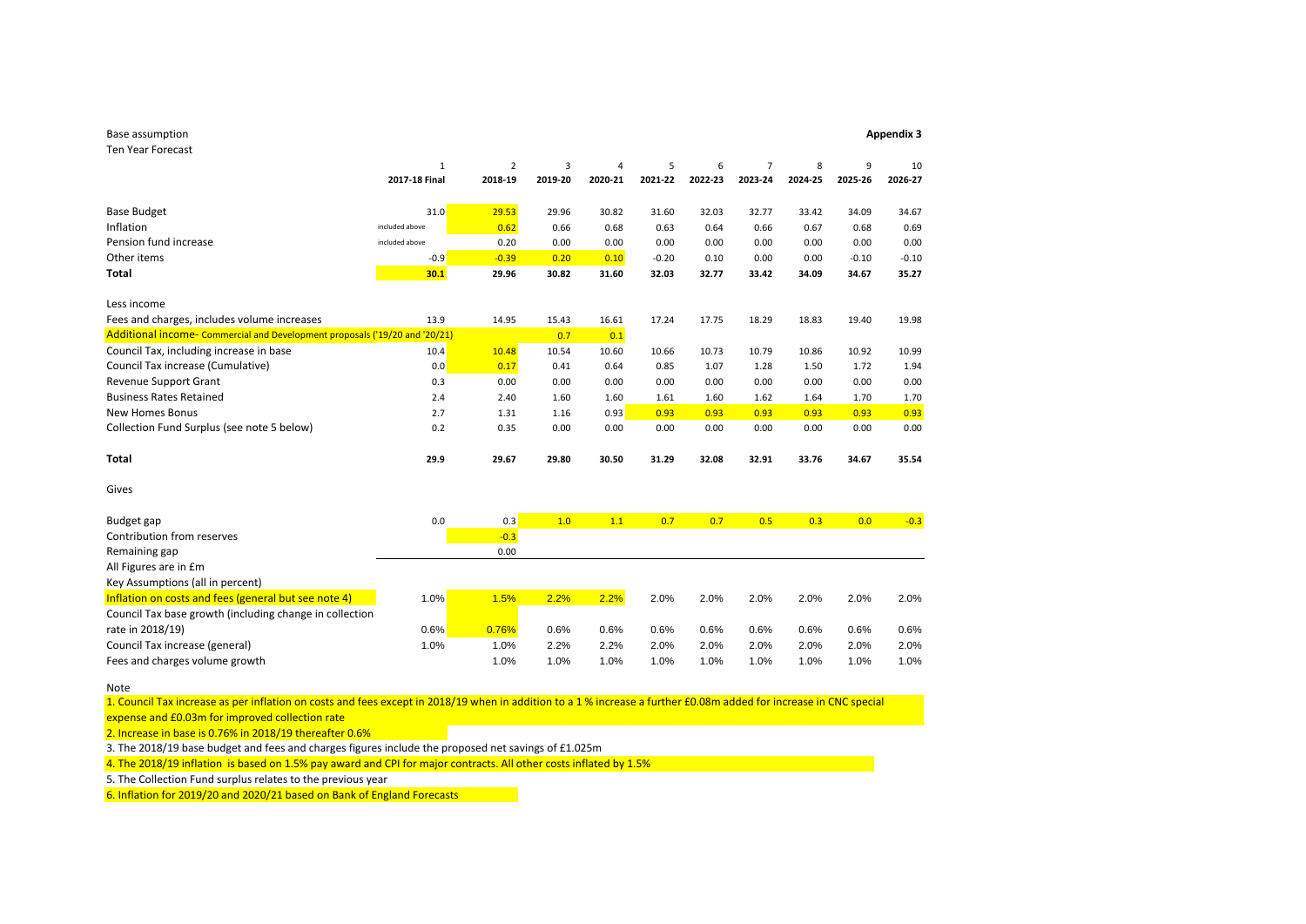| Base assumption                                                             |                |                |         |         |         |         |                |         |         | <b>Appendix 3</b> |
|-----------------------------------------------------------------------------|----------------|----------------|---------|---------|---------|---------|----------------|---------|---------|-------------------|
| <b>Ten Year Forecast</b>                                                    |                |                |         |         |         |         |                |         |         |                   |
|                                                                             | $1\,$          | $\overline{2}$ | 3       | 4       | 5       | 6       | $\overline{7}$ | 8       | 9       | 10                |
|                                                                             | 2017-18 Final  | 2018-19        | 2019-20 | 2020-21 | 2021-22 | 2022-23 | 2023-24        | 2024-25 | 2025-26 | 2026-27           |
| <b>Base Budget</b>                                                          | 31.0           | 29.53          | 29.96   | 30.82   | 31.60   | 32.03   | 32.77          | 33.42   | 34.09   | 34.67             |
| Inflation                                                                   | included above | 0.62           | 0.66    | 0.68    | 0.63    | 0.64    | 0.66           | 0.67    | 0.68    | 0.69              |
| Pension fund increase                                                       | included above | 0.20           | 0.00    | 0.00    | 0.00    | 0.00    | 0.00           | 0.00    | 0.00    | 0.00              |
| Other items                                                                 | $-0.9$         | $-0.39$        | 0.20    | 0.10    | $-0.20$ | 0.10    | 0.00           | 0.00    | $-0.10$ | $-0.10$           |
| <b>Total</b>                                                                | 30.1           | 29.96          | 30.82   | 31.60   | 32.03   | 32.77   | 33.42          | 34.09   | 34.67   | 35.27             |
| Less income                                                                 |                |                |         |         |         |         |                |         |         |                   |
| Fees and charges, includes volume increases                                 | 13.9           | 14.95          | 15.43   | 16.61   | 17.24   | 17.75   | 18.29          | 18.83   | 19.40   | 19.98             |
| Additional income- Commercial and Development proposals ('19/20 and '20/21) |                |                | 0.7     | 0.1     |         |         |                |         |         |                   |
| Council Tax, including increase in base                                     | 10.4           | 10.48          | 10.54   | 10.60   | 10.66   | 10.73   | 10.79          | 10.86   | 10.92   | 10.99             |
| Council Tax increase (Cumulative)                                           | 0.0            | 0.17           | 0.41    | 0.64    | 0.85    | 1.07    | 1.28           | 1.50    | 1.72    | 1.94              |
| <b>Revenue Support Grant</b>                                                | 0.3            | 0.00           | 0.00    | 0.00    | 0.00    | 0.00    | 0.00           | 0.00    | 0.00    | 0.00              |
| <b>Business Rates Retained</b>                                              | 2.4            | 2.40           | 1.60    | 1.60    | 1.61    | 1.60    | 1.62           | 1.64    | 1.70    | 1.70              |
| <b>New Homes Bonus</b>                                                      | 2.7            | 1.31           | 1.16    | 0.93    | 0.93    | 0.93    | 0.93           | 0.93    | 0.93    | 0.93              |
| Collection Fund Surplus (see note 5 below)                                  | 0.2            | 0.35           | 0.00    | 0.00    | 0.00    | 0.00    | 0.00           | 0.00    | 0.00    | 0.00              |
| Total                                                                       | 29.9           | 29.67          | 29.80   | 30.50   | 31.29   | 32.08   | 32.91          | 33.76   | 34.67   | 35.54             |
| Gives                                                                       |                |                |         |         |         |         |                |         |         |                   |
| Budget gap                                                                  | 0.0            | 0.3            | 1.0     | 1.1     | 0.7     | 0.7     | 0.5            | 0.3     | 0.0     | $-0.3$            |
| Contribution from reserves                                                  |                | $-0.3$         |         |         |         |         |                |         |         |                   |
| Remaining gap                                                               |                | 0.00           |         |         |         |         |                |         |         |                   |
| All Figures are in £m                                                       |                |                |         |         |         |         |                |         |         |                   |
| Key Assumptions (all in percent)                                            |                |                |         |         |         |         |                |         |         |                   |
| Inflation on costs and fees (general but see note 4)                        | 1.0%           | 1.5%           | 2.2%    | 2.2%    | 2.0%    | 2.0%    | 2.0%           | 2.0%    | 2.0%    | 2.0%              |
| Council Tax base growth (including change in collection                     |                |                |         |         |         |         |                |         |         |                   |
| rate in 2018/19)                                                            | 0.6%           | 0.76%          | 0.6%    | 0.6%    | 0.6%    | 0.6%    | 0.6%           | 0.6%    | 0.6%    | 0.6%              |
| Council Tax increase (general)                                              | 1.0%           | 1.0%           | 2.2%    | 2.2%    | 2.0%    | 2.0%    | 2.0%           | 2.0%    | 2.0%    | 2.0%              |
| Fees and charges volume growth                                              |                | 1.0%           | 1.0%    | 1.0%    | 1.0%    | 1.0%    | 1.0%           | 1.0%    | 1.0%    | 1.0%              |
| Note                                                                        |                |                |         |         |         |         |                |         |         |                   |

1. Council Tax increase as per inflation on costs and fees except in 2018/19 when in addition to a 1 % increase a further £0.08m added for increase in CNC special

expense and £0.03m for improved collection rate

2. Increase in base is 0.76% in 2018/19 thereafter 0.6%

3. The 2018/19 base budget and fees and charges figures include the proposed net savings of £1.025m

4. The 2018/19 inflation is based on 1.5% pay award and CPI for major contracts. All other costs inflated by 1.5%

5. The Collection Fund surplus relates to the previous year

6. Inflation for 2019/20 and 2020/21 based on Bank of England Forecasts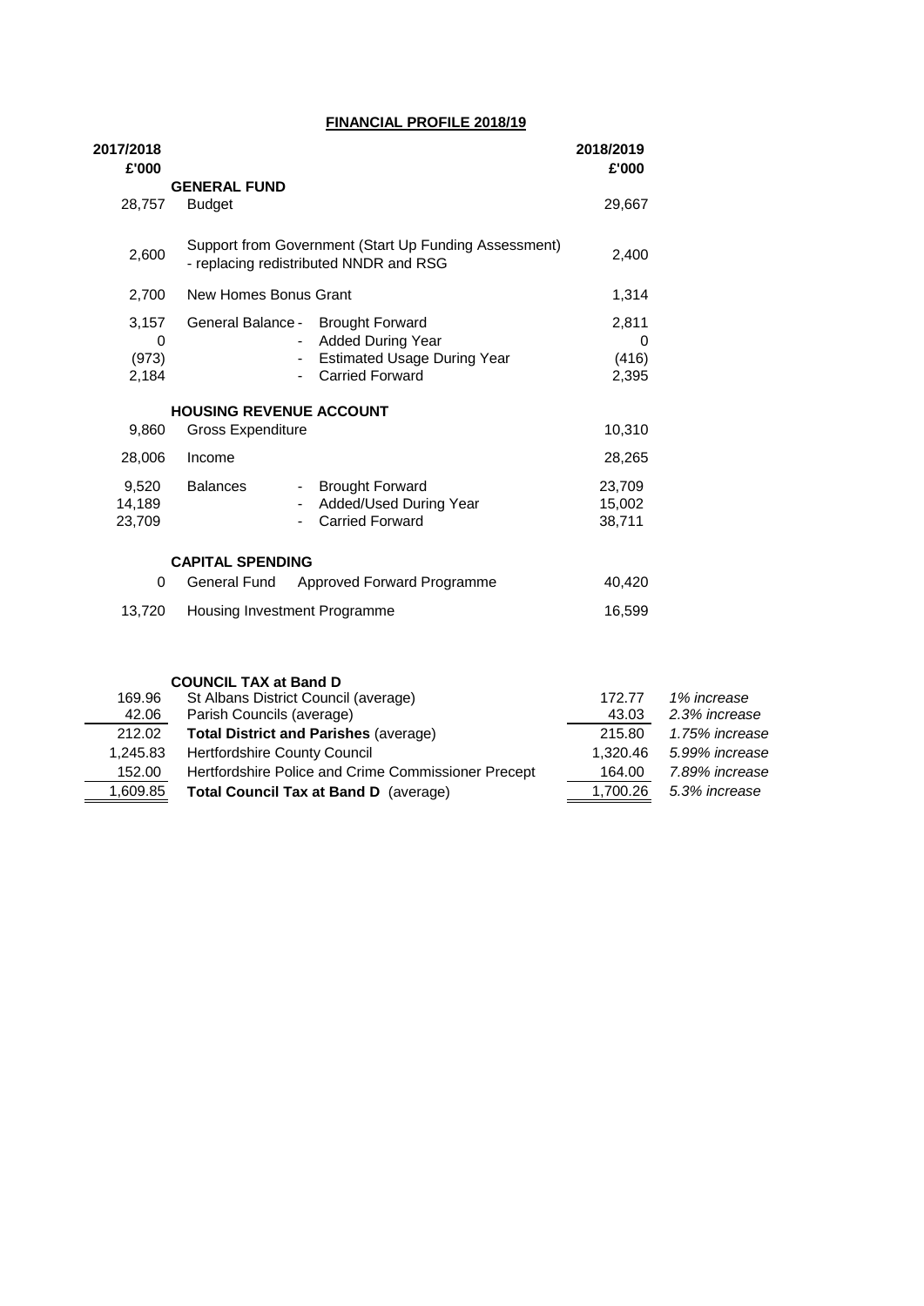#### **FINANCIAL PROFILE 2018/19**

| 2017/2018<br>£'000 |                                        |                                                       | 2018/2019<br>£'000 |
|--------------------|----------------------------------------|-------------------------------------------------------|--------------------|
|                    | <b>GENERAL FUND</b>                    |                                                       |                    |
| 28,757             | <b>Budget</b>                          |                                                       | 29,667             |
| 2,600              | - replacing redistributed NNDR and RSG | Support from Government (Start Up Funding Assessment) | 2,400              |
| 2,700              | New Homes Bonus Grant                  |                                                       | 1,314              |
| 3,157              | General Balance - Brought Forward      |                                                       | 2,811              |
| 0                  |                                        | <b>Added During Year</b>                              | 0                  |
| (973)              | $\sim$                                 | <b>Estimated Usage During Year</b>                    | (416)              |
| 2,184              |                                        | <b>Carried Forward</b>                                | 2,395              |
|                    | <b>HOUSING REVENUE ACCOUNT</b>         |                                                       |                    |
| 9,860              | <b>Gross Expenditure</b>               |                                                       | 10,310             |
| 28,006             | Income                                 |                                                       | 28,265             |
| 9,520              | <b>Balances</b><br>$\sim 100$          | <b>Brought Forward</b>                                | 23,709             |
| 14,189             |                                        | Added/Used During Year                                | 15,002             |
| 23,709             |                                        | <b>Carried Forward</b>                                | 38,711             |
|                    | <b>CAPITAL SPENDING</b>                |                                                       |                    |
| 0                  |                                        | General Fund Approved Forward Programme               | 40,420             |
| 13,720             | Housing Investment Programme           |                                                       | 16,599             |

|          | <b>COUNCIL TAX at Band D</b>                        |          |                |  |
|----------|-----------------------------------------------------|----------|----------------|--|
| 169.96   | St Albans District Council (average)                | 172.77   | 1% increase    |  |
| 42.06    | Parish Councils (average)                           | 43.03    | 2.3% increase  |  |
| 212.02   | <b>Total District and Parishes (average)</b>        | 215.80   | 1.75% increase |  |
| 1.245.83 | <b>Hertfordshire County Council</b>                 | 1.320.46 | 5.99% increase |  |
| 152.00   | Hertfordshire Police and Crime Commissioner Precept | 164.00   | 7.89% increase |  |
| 1,609.85 | Total Council Tax at Band D (average)               | 1,700.26 | 5.3% increase  |  |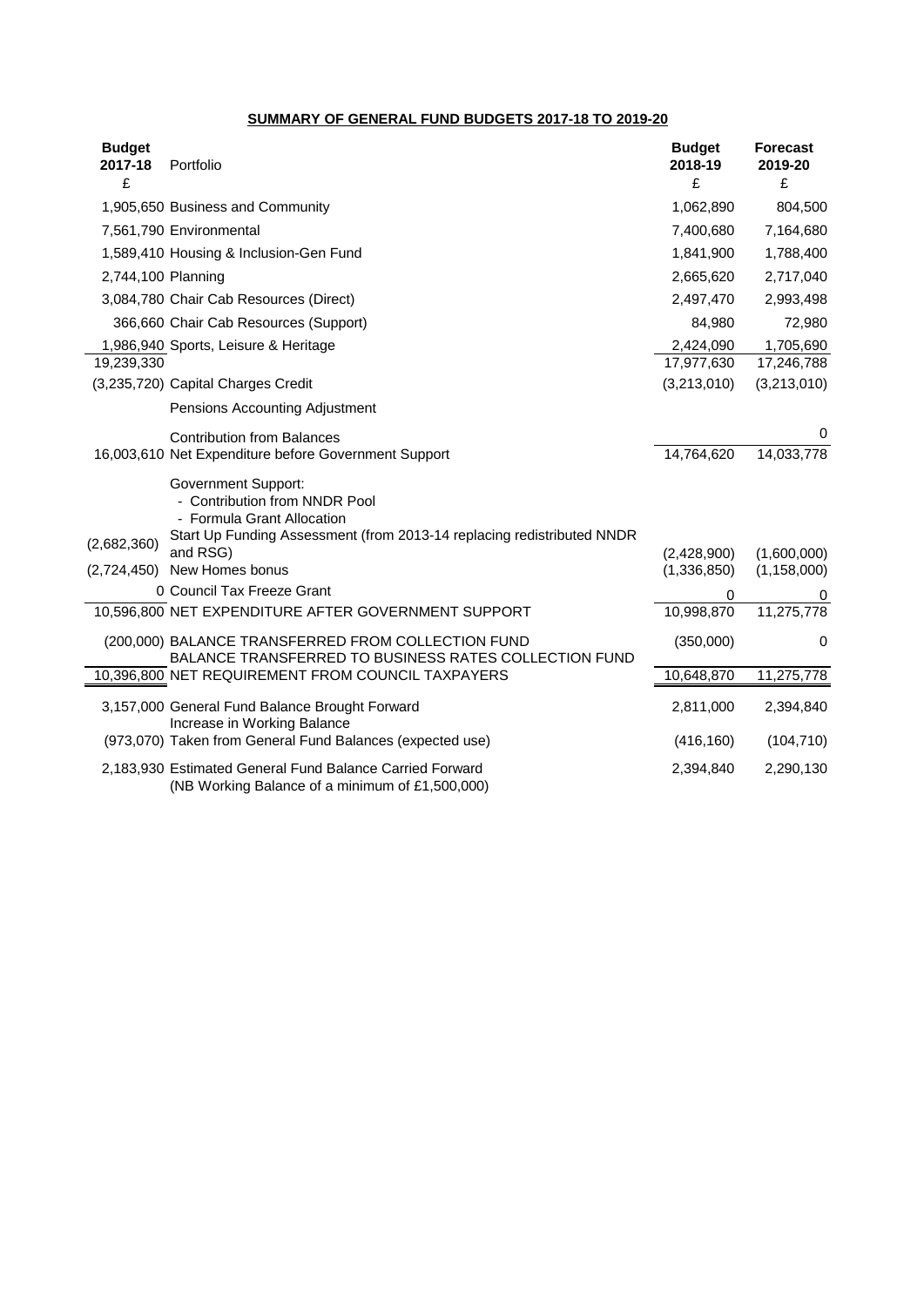#### **SUMMARY OF GENERAL FUND BUDGETS 2017-18 TO 2019-20**

| <b>Budget</b><br>2017-18<br>£ | Portfolio                                                                                                                                                           | <b>Budget</b><br>2018-19<br>£ | <b>Forecast</b><br>2019-20<br>£ |
|-------------------------------|---------------------------------------------------------------------------------------------------------------------------------------------------------------------|-------------------------------|---------------------------------|
|                               | 1,905,650 Business and Community                                                                                                                                    | 1,062,890                     | 804,500                         |
|                               | 7,561,790 Environmental                                                                                                                                             | 7,400,680                     | 7,164,680                       |
|                               | 1,589,410 Housing & Inclusion-Gen Fund                                                                                                                              | 1,841,900                     | 1,788,400                       |
| 2,744,100 Planning            |                                                                                                                                                                     | 2,665,620                     | 2,717,040                       |
|                               | 3,084,780 Chair Cab Resources (Direct)                                                                                                                              | 2,497,470                     | 2,993,498                       |
|                               | 366,660 Chair Cab Resources (Support)                                                                                                                               | 84,980                        | 72,980                          |
|                               | 1,986,940 Sports, Leisure & Heritage                                                                                                                                | 2,424,090                     | 1,705,690                       |
| 19,239,330                    |                                                                                                                                                                     | 17,977,630                    | 17,246,788                      |
|                               | (3,235,720) Capital Charges Credit                                                                                                                                  | (3,213,010)                   | (3,213,010)                     |
|                               | Pensions Accounting Adjustment                                                                                                                                      |                               |                                 |
|                               | <b>Contribution from Balances</b>                                                                                                                                   |                               | 0                               |
|                               | 16,003,610 Net Expenditure before Government Support                                                                                                                | 14,764,620                    | 14,033,778                      |
|                               | <b>Government Support:</b><br>- Contribution from NNDR Pool<br>- Formula Grant Allocation<br>Start Up Funding Assessment (from 2013-14 replacing redistributed NNDR |                               |                                 |
| (2,682,360)                   | and RSG)                                                                                                                                                            | (2,428,900)                   | (1,600,000)                     |
| (2,724,450)                   | New Homes bonus                                                                                                                                                     | (1,336,850)                   | (1, 158, 000)                   |
|                               | 0 Council Tax Freeze Grant                                                                                                                                          | 0                             | 0                               |
|                               | 10,596,800 NET EXPENDITURE AFTER GOVERNMENT SUPPORT                                                                                                                 | 10,998,870                    | 11,275,778                      |
|                               | (200,000) BALANCE TRANSFERRED FROM COLLECTION FUND<br>BALANCE TRANSFERRED TO BUSINESS RATES COLLECTION FUND                                                         | (350,000)                     | 0                               |
|                               | 10,396,800 NET REQUIREMENT FROM COUNCIL TAXPAYERS                                                                                                                   | 10,648,870                    | 11,275,778                      |
|                               | 3,157,000 General Fund Balance Brought Forward<br>Increase in Working Balance                                                                                       | 2,811,000                     | 2,394,840                       |
|                               | (973,070) Taken from General Fund Balances (expected use)                                                                                                           | (416, 160)                    | (104, 710)                      |
|                               | 2,183,930 Estimated General Fund Balance Carried Forward<br>(NB Working Balance of a minimum of £1,500,000)                                                         | 2,394,840                     | 2,290,130                       |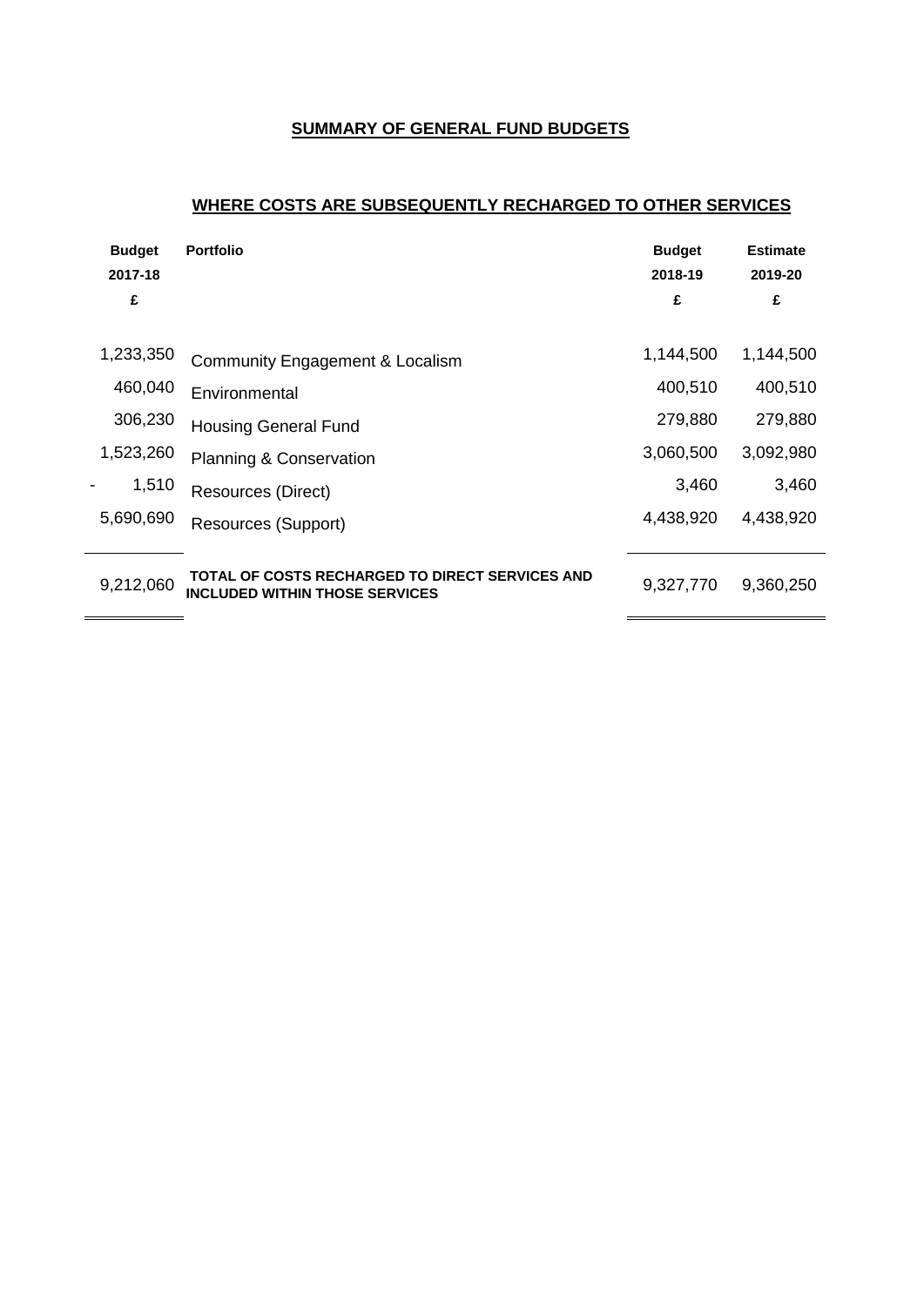### **SUMMARY OF GENERAL FUND BUDGETS**

### **WHERE COSTS ARE SUBSEQUENTLY RECHARGED TO OTHER SERVICES**

| <b>Budget</b> | <b>Portfolio</b>                                                                         | <b>Budget</b> | <b>Estimate</b> |
|---------------|------------------------------------------------------------------------------------------|---------------|-----------------|
| 2017-18       |                                                                                          | 2018-19       | 2019-20         |
| £             |                                                                                          | £             | £               |
| 1,233,350     | Community Engagement & Localism                                                          | 1,144,500     | 1,144,500       |
| 460,040       | Environmental                                                                            | 400,510       | 400,510         |
| 306,230       | <b>Housing General Fund</b>                                                              | 279,880       | 279,880         |
| 1,523,260     | <b>Planning &amp; Conservation</b>                                                       | 3,060,500     | 3,092,980       |
| 1,510         | Resources (Direct)                                                                       | 3,460         | 3,460           |
| 5,690,690     | <b>Resources (Support)</b>                                                               | 4,438,920     | 4,438,920       |
| 9,212,060     | TOTAL OF COSTS RECHARGED TO DIRECT SERVICES AND<br><b>INCLUDED WITHIN THOSE SERVICES</b> | 9,327,770     | 9,360,250       |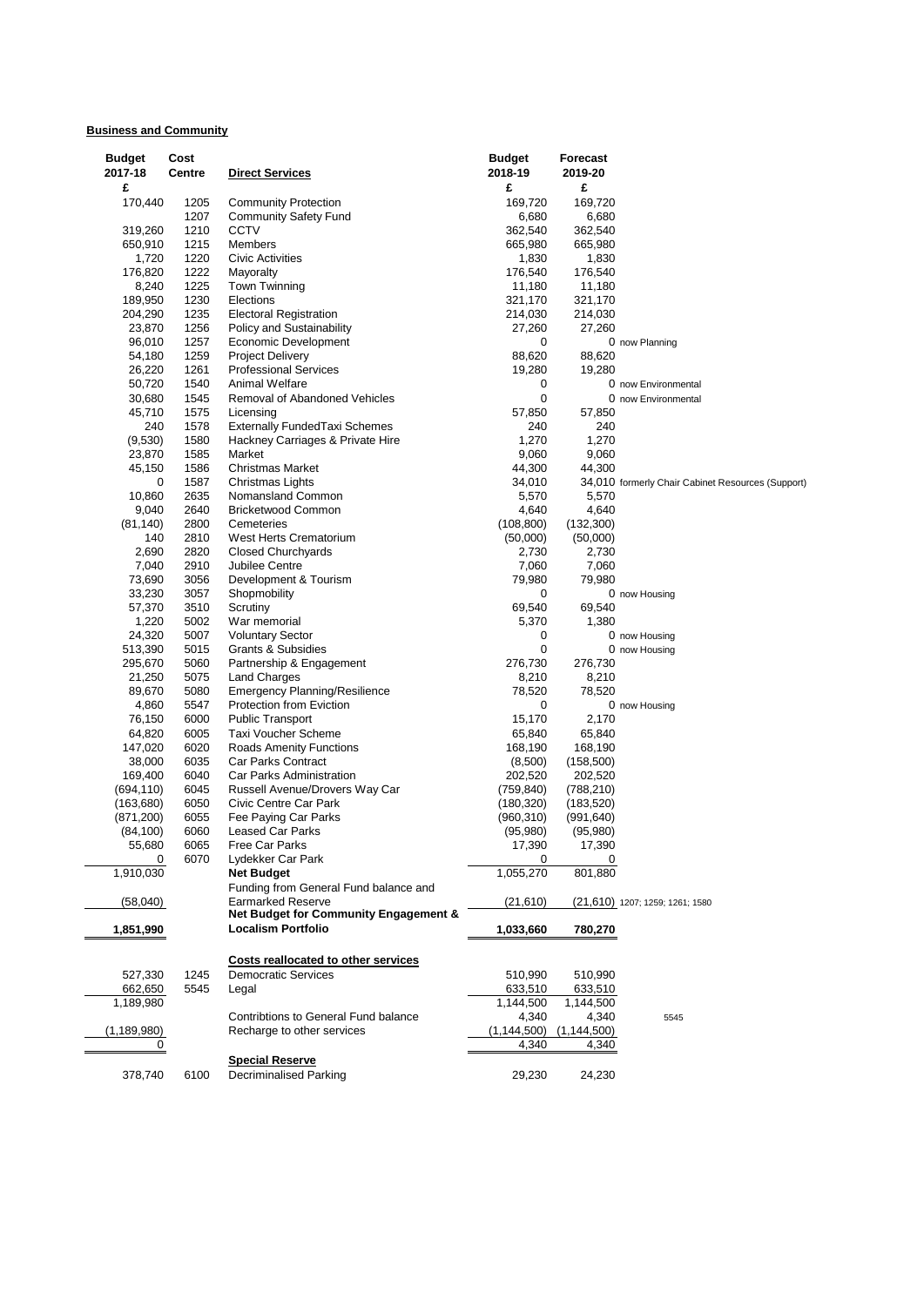#### **Business and Community**

| <b>Budget</b><br>2017-18 | Cost<br>Centre | <b>Direct Services</b>                                            | <b>Budget</b><br>2018-19 | Forecast<br>2019-20 |                                                   |
|--------------------------|----------------|-------------------------------------------------------------------|--------------------------|---------------------|---------------------------------------------------|
| £                        |                |                                                                   | £                        | £                   |                                                   |
| 170,440                  | 1205           | <b>Community Protection</b>                                       | 169,720                  | 169,720             |                                                   |
|                          | 1207           | <b>Community Safety Fund</b>                                      | 6,680                    | 6,680               |                                                   |
| 319,260                  | 1210           | CCTV                                                              | 362,540                  | 362,540             |                                                   |
| 650,910                  | 1215           | Members                                                           | 665,980                  | 665,980             |                                                   |
| 1,720                    | 1220           | <b>Civic Activities</b>                                           | 1,830                    | 1,830               |                                                   |
| 176,820                  | 1222           | Mayoralty                                                         | 176,540                  | 176,540             |                                                   |
| 8,240                    | 1225           | Town Twinning                                                     | 11,180                   | 11,180              |                                                   |
| 189,950                  | 1230           | Elections                                                         | 321,170                  | 321,170             |                                                   |
| 204,290                  | 1235           | <b>Electoral Registration</b>                                     | 214,030                  | 214,030             |                                                   |
| 23,870                   | 1256           | Policy and Sustainability                                         | 27,260                   | 27,260              |                                                   |
| 96,010                   | 1257           | Economic Development                                              | 0                        |                     | 0 now Planning                                    |
| 54,180                   | 1259           | <b>Project Delivery</b>                                           | 88,620                   | 88,620              |                                                   |
| 26,220                   | 1261           | <b>Professional Services</b>                                      | 19,280                   | 19,280              |                                                   |
| 50,720                   | 1540           | Animal Welfare                                                    | 0                        |                     | 0 now Environmental                               |
| 30,680                   | 1545           | Removal of Abandoned Vehicles                                     | $\mathbf 0$              |                     | 0 now Environmental                               |
| 45,710                   | 1575           | Licensing                                                         | 57,850                   | 57,850              |                                                   |
| 240                      | 1578           | <b>Externally FundedTaxi Schemes</b>                              | 240                      | 240                 |                                                   |
| (9,530)                  | 1580           | Hackney Carriages & Private Hire                                  | 1,270                    | 1,270               |                                                   |
| 23,870                   | 1585           | Market                                                            | 9,060                    | 9,060               |                                                   |
| 45,150                   | 1586           | Christmas Market                                                  | 44,300                   | 44,300              |                                                   |
| 0                        | 1587           | Christmas Lights                                                  | 34,010                   |                     | 34,010 formerly Chair Cabinet Resources (Support) |
| 10,860                   | 2635           | Nomansland Common                                                 | 5,570                    | 5,570               |                                                   |
| 9,040                    | 2640           | <b>Bricketwood Common</b>                                         | 4,640                    | 4,640               |                                                   |
| (81, 140)                | 2800           | Cemeteries                                                        | (108, 800)               | (132,300)           |                                                   |
| 140                      | 2810           | West Herts Crematorium                                            | (50,000)                 | (50,000)            |                                                   |
| 2,690                    | 2820           | <b>Closed Churchyards</b>                                         | 2,730                    | 2,730               |                                                   |
| 7,040                    | 2910           | Jubilee Centre                                                    | 7,060                    | 7,060               |                                                   |
|                          |                |                                                                   |                          |                     |                                                   |
| 73,690                   | 3056           | Development & Tourism                                             | 79,980                   | 79,980              |                                                   |
| 33,230                   | 3057           | Shopmobility                                                      | 0                        |                     | 0 now Housing                                     |
| 57,370                   | 3510           | Scrutiny                                                          | 69,540                   | 69,540              |                                                   |
| 1,220                    | 5002           | War memorial                                                      | 5,370                    | 1,380               |                                                   |
| 24,320                   | 5007           | <b>Voluntary Sector</b>                                           | 0                        |                     | 0 now Housing                                     |
| 513,390                  | 5015           | Grants & Subsidies                                                | 0                        |                     | 0 now Housing                                     |
| 295,670                  | 5060           | Partnership & Engagement                                          | 276,730                  | 276,730             |                                                   |
| 21,250                   | 5075           | Land Charges                                                      | 8,210                    | 8,210               |                                                   |
| 89,670                   | 5080           | <b>Emergency Planning/Resilience</b>                              | 78,520                   | 78,520              |                                                   |
| 4,860                    | 5547           | Protection from Eviction                                          | 0                        |                     | 0 now Housing                                     |
| 76,150                   | 6000           | <b>Public Transport</b>                                           | 15,170                   | 2,170               |                                                   |
| 64,820                   | 6005           | Taxi Voucher Scheme                                               | 65,840                   | 65,840              |                                                   |
| 147,020                  | 6020           | <b>Roads Amenity Functions</b>                                    | 168,190                  | 168,190             |                                                   |
| 38,000                   | 6035           | Car Parks Contract                                                | (8,500)                  | (158, 500)          |                                                   |
| 169,400                  | 6040           | Car Parks Administration                                          | 202,520                  | 202,520             |                                                   |
| (694, 110)               | 6045           | Russell Avenue/Drovers Way Car                                    | (759, 840)               | (788, 210)          |                                                   |
| (163, 680)               | 6050           | Civic Centre Car Park                                             | (180, 320)               | (183, 520)          |                                                   |
| (871, 200)               | 6055           | Fee Paying Car Parks                                              | (960, 310)               | (991, 640)          |                                                   |
| (84, 100)                | 6060           | Leased Car Parks                                                  | (95, 980)                | (95, 980)           |                                                   |
| 55,680                   | 6065           | Free Car Parks                                                    | 17,390                   | 17,390              |                                                   |
| 0                        | 6070           | Lydekker Car Park                                                 | 0                        | 0                   |                                                   |
| 1,910,030                |                | <b>Net Budget</b>                                                 | 1,055,270                | 801,880             |                                                   |
|                          |                | Funding from General Fund balance and                             |                          |                     |                                                   |
|                          |                |                                                                   |                          |                     |                                                   |
| (58,040)                 |                | <b>Earmarked Reserve</b><br>Net Budget for Community Engagement & | (21,610)                 |                     | (21,610) 1207; 1259; 1261; 1580                   |
|                          |                |                                                                   |                          |                     |                                                   |
| 1,851,990                |                | <b>Localism Portfolio</b>                                         | 1,033,660                | 780,270             |                                                   |
|                          |                | Costs reallocated to other services                               |                          |                     |                                                   |
| 527,330                  | 1245           | <b>Democratic Services</b>                                        | 510,990                  | 510,990             |                                                   |
| 662,650                  | 5545           | Legal                                                             | 633,510                  | 633,510             |                                                   |
| 1,189,980                |                |                                                                   | 1,144,500                | 1,144,500           |                                                   |
|                          |                | Contribtions to General Fund balance                              | 4,340                    | 4,340               | 5545                                              |
| (1,189,980)              |                | Recharge to other services                                        | (1,144,500)              | (1, 144, 500)       |                                                   |
| 0                        |                |                                                                   | 4,340                    | 4,340               |                                                   |
|                          |                |                                                                   |                          |                     |                                                   |
|                          |                | <b>Special Reserve</b>                                            |                          |                     |                                                   |
| 378,740                  | 6100           | <b>Decriminalised Parking</b>                                     | 29,230                   | 24,230              |                                                   |
|                          |                |                                                                   |                          |                     |                                                   |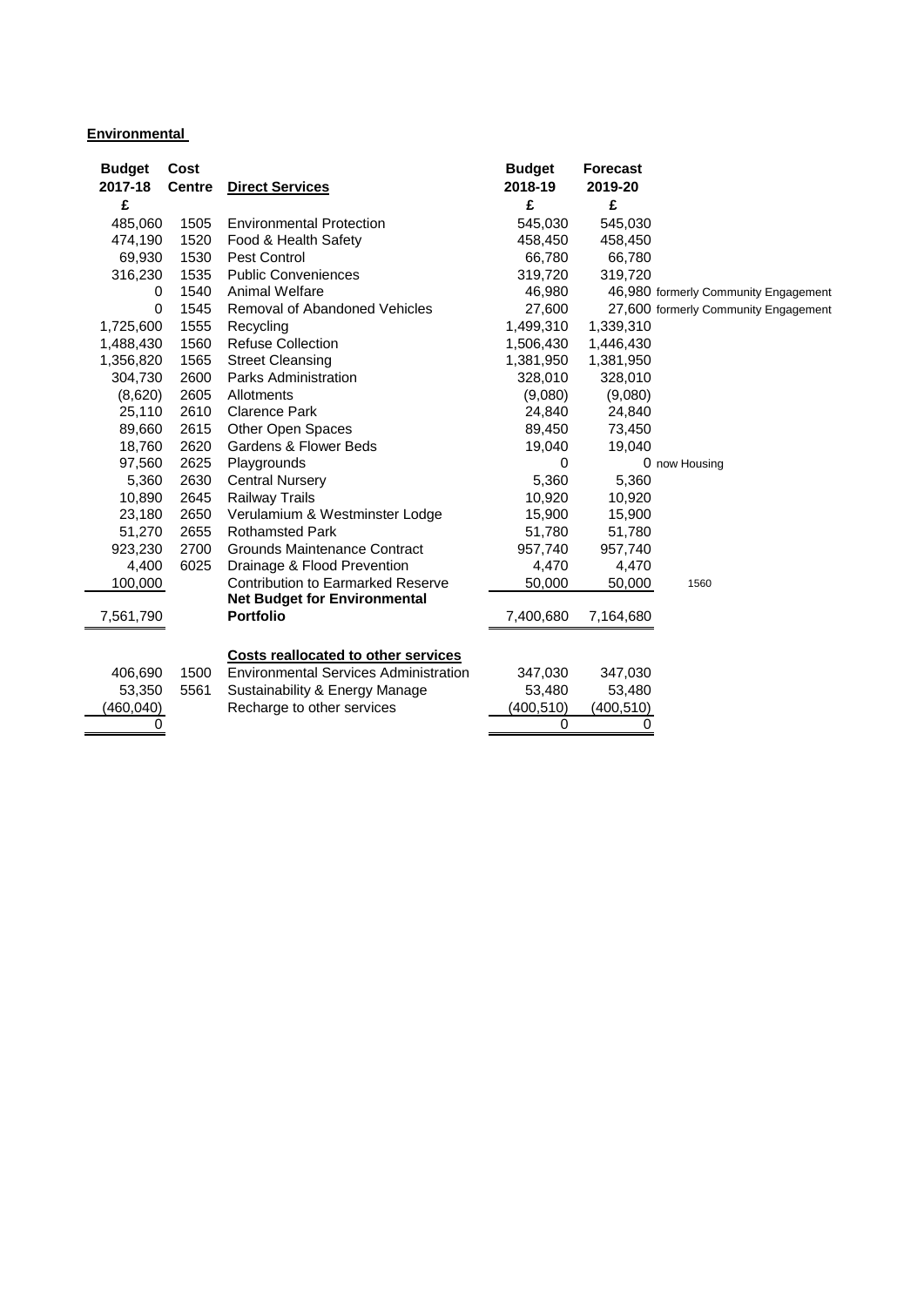#### **Environmental**

| <b>Budget</b><br>2017-18 | Cost<br><b>Centre</b> | <b>Direct Services</b>                       | <b>Budget</b><br>2018-19 | <b>Forecast</b><br>2019-20 |                                      |
|--------------------------|-----------------------|----------------------------------------------|--------------------------|----------------------------|--------------------------------------|
| £                        |                       |                                              | £                        | £                          |                                      |
| 485,060                  | 1505                  | <b>Environmental Protection</b>              | 545,030                  | 545,030                    |                                      |
| 474,190                  | 1520                  | Food & Health Safety                         | 458,450                  | 458,450                    |                                      |
| 69,930                   | 1530                  | Pest Control                                 | 66,780                   | 66,780                     |                                      |
| 316,230                  | 1535                  | <b>Public Conveniences</b>                   | 319,720                  | 319,720                    |                                      |
| 0                        | 1540                  | Animal Welfare                               | 46,980                   |                            | 46,980 formerly Community Engagement |
| 0                        | 1545                  | <b>Removal of Abandoned Vehicles</b>         | 27,600                   |                            | 27,600 formerly Community Engagement |
| 1,725,600                | 1555                  | Recycling                                    | 1,499,310                | 1,339,310                  |                                      |
| 1,488,430                | 1560                  | <b>Refuse Collection</b>                     | 1,506,430                | 1,446,430                  |                                      |
| 1,356,820                | 1565                  | <b>Street Cleansing</b>                      | 1,381,950                | 1,381,950                  |                                      |
| 304,730                  | 2600                  | Parks Administration                         | 328,010                  | 328,010                    |                                      |
| (8,620)                  | 2605                  | Allotments                                   | (9,080)                  | (9,080)                    |                                      |
| 25,110                   | 2610                  | <b>Clarence Park</b>                         | 24,840                   | 24,840                     |                                      |
| 89,660                   | 2615                  | Other Open Spaces                            | 89,450                   | 73,450                     |                                      |
| 18,760                   | 2620                  | Gardens & Flower Beds                        | 19,040                   | 19,040                     |                                      |
| 97,560                   | 2625                  | Playgrounds                                  | 0                        |                            | 0 now Housing                        |
| 5,360                    | 2630                  | <b>Central Nursery</b>                       | 5,360                    | 5,360                      |                                      |
| 10,890                   | 2645                  | <b>Railway Trails</b>                        | 10,920                   | 10,920                     |                                      |
| 23,180                   | 2650                  | Verulamium & Westminster Lodge               | 15,900                   | 15,900                     |                                      |
| 51,270                   | 2655                  | <b>Rothamsted Park</b>                       | 51,780                   | 51,780                     |                                      |
| 923,230                  | 2700                  | Grounds Maintenance Contract                 | 957,740                  | 957,740                    |                                      |
| 4,400                    | 6025                  | Drainage & Flood Prevention                  | 4,470                    | 4,470                      |                                      |
| 100,000                  |                       | <b>Contribution to Earmarked Reserve</b>     | 50,000                   | 50,000                     | 1560                                 |
|                          |                       | <b>Net Budget for Environmental</b>          |                          |                            |                                      |
| 7,561,790                |                       | <b>Portfolio</b>                             | 7,400,680                | 7,164,680                  |                                      |
|                          |                       |                                              |                          |                            |                                      |
|                          |                       | <b>Costs reallocated to other services</b>   |                          |                            |                                      |
| 406,690                  | 1500                  | <b>Environmental Services Administration</b> | 347,030                  | 347,030                    |                                      |
| 53,350                   | 5561                  | Sustainability & Energy Manage               | 53,480                   | 53,480                     |                                      |
| (460,040)                |                       | Recharge to other services                   | (400, 510)               | (400, 510)                 |                                      |
| 0                        |                       |                                              | 0                        | 0                          |                                      |
|                          |                       |                                              |                          |                            |                                      |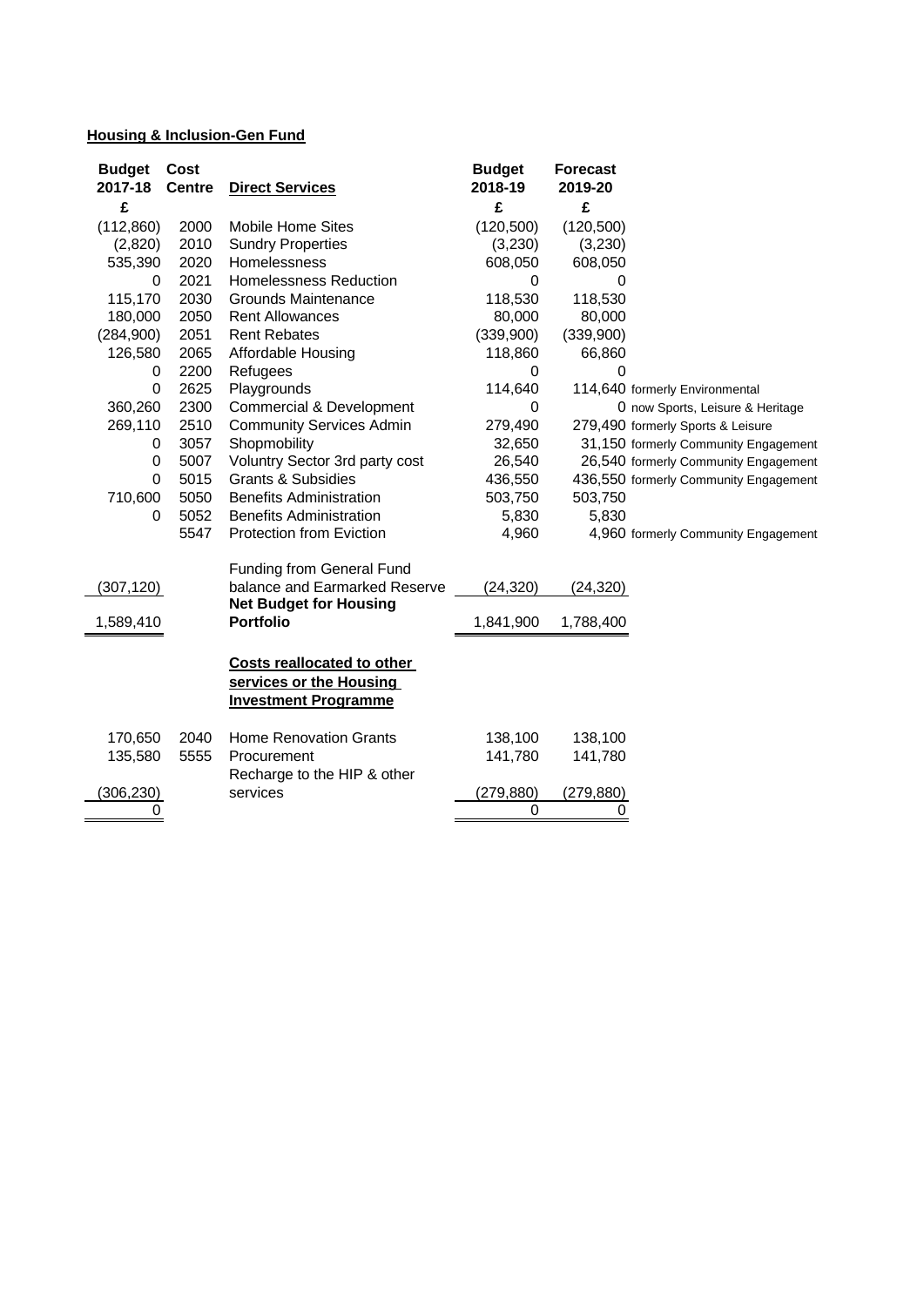## **Housing & Inclusion-Gen Fund**

| <b>Budget</b><br>2017-18 | Cost<br><b>Centre</b> | <b>Direct Services</b>                                                               | <b>Budget</b><br>2018-19 | <b>Forecast</b><br>2019-20 |                                       |
|--------------------------|-----------------------|--------------------------------------------------------------------------------------|--------------------------|----------------------------|---------------------------------------|
| £                        |                       |                                                                                      | £                        | £                          |                                       |
| (112, 860)               | 2000                  | <b>Mobile Home Sites</b>                                                             | (120, 500)               | (120, 500)                 |                                       |
| (2,820)                  | 2010                  | <b>Sundry Properties</b>                                                             | (3,230)                  | (3,230)                    |                                       |
| 535,390                  | 2020                  | Homelessness                                                                         | 608,050                  | 608,050                    |                                       |
| 0                        | 2021                  | <b>Homelessness Reduction</b>                                                        | 0                        | 0                          |                                       |
| 115,170                  | 2030                  | Grounds Maintenance                                                                  | 118,530                  | 118,530                    |                                       |
| 180,000                  | 2050                  | <b>Rent Allowances</b>                                                               | 80,000                   | 80,000                     |                                       |
| (284,900)                | 2051                  | <b>Rent Rebates</b>                                                                  | (339,900)                | (339,900)                  |                                       |
| 126,580                  | 2065                  | Affordable Housing                                                                   | 118,860                  | 66,860                     |                                       |
| 0                        | 2200                  | Refugees                                                                             | 0                        | 0                          |                                       |
| 0                        | 2625                  | Playgrounds                                                                          | 114,640                  |                            | 114,640 formerly Environmental        |
| 360,260                  | 2300                  | Commercial & Development                                                             | 0                        |                            | 0 now Sports, Leisure & Heritage      |
| 269,110                  | 2510                  | <b>Community Services Admin</b>                                                      | 279,490                  |                            | 279,490 formerly Sports & Leisure     |
| 0                        | 3057                  | Shopmobility                                                                         | 32,650                   |                            | 31,150 formerly Community Engagement  |
| $\pmb{0}$                | 5007                  | Voluntry Sector 3rd party cost                                                       | 26,540                   |                            | 26,540 formerly Community Engagement  |
| $\mathbf 0$              | 5015                  | <b>Grants &amp; Subsidies</b>                                                        | 436,550                  |                            | 436,550 formerly Community Engagement |
| 710,600                  | 5050                  | <b>Benefits Administration</b>                                                       | 503,750                  | 503,750                    |                                       |
| 0                        | 5052                  | <b>Benefits Administration</b>                                                       | 5,830                    | 5,830                      |                                       |
|                          | 5547                  | Protection from Eviction                                                             | 4,960                    |                            | 4,960 formerly Community Engagement   |
|                          |                       | <b>Funding from General Fund</b>                                                     |                          |                            |                                       |
| (307, 120)               |                       | balance and Earmarked Reserve                                                        | (24, 320)                | (24, 320)                  |                                       |
|                          |                       | <b>Net Budget for Housing</b>                                                        |                          |                            |                                       |
| 1,589,410                |                       | <b>Portfolio</b>                                                                     | 1,841,900                | 1,788,400                  |                                       |
|                          |                       | Costs reallocated to other<br>services or the Housing<br><b>Investment Programme</b> |                          |                            |                                       |
| 170,650                  | 2040                  | <b>Home Renovation Grants</b>                                                        | 138,100                  | 138,100                    |                                       |
| 135,580                  | 5555                  | Procurement                                                                          | 141,780                  | 141,780                    |                                       |
|                          |                       | Recharge to the HIP & other                                                          |                          |                            |                                       |
| (306, 230)               |                       | services                                                                             | (279, 880)               | (279, 880)                 |                                       |
| 0                        |                       |                                                                                      | 0                        | 0                          |                                       |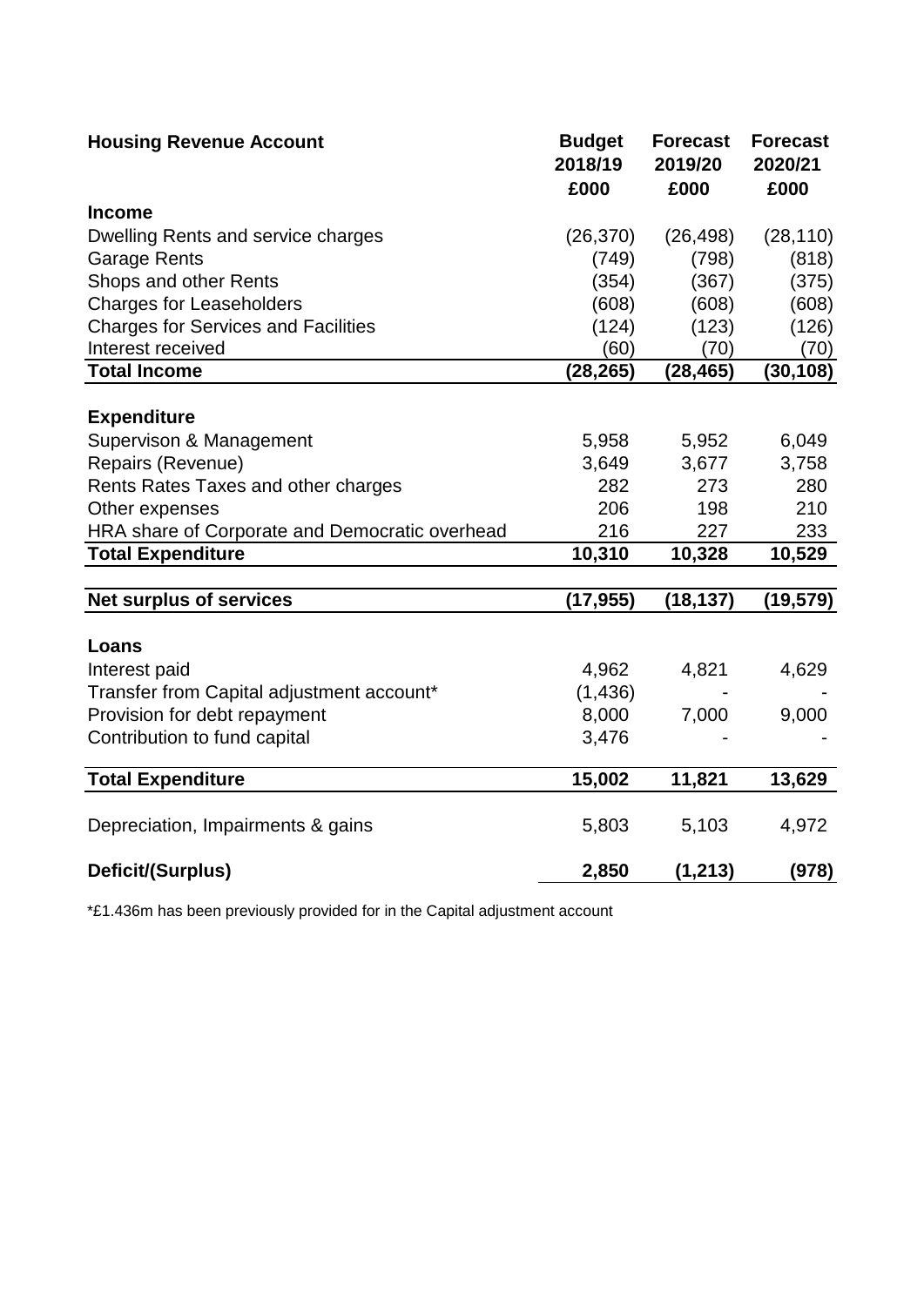| <b>Housing Revenue Account</b>                 | <b>Budget</b><br>2018/19<br>£000 | <b>Forecast</b><br>2019/20<br>£000 | <b>Forecast</b><br>2020/21<br>£000 |
|------------------------------------------------|----------------------------------|------------------------------------|------------------------------------|
| <b>Income</b>                                  |                                  |                                    |                                    |
| Dwelling Rents and service charges             | (26, 370)                        | (26, 498)                          | (28, 110)                          |
| <b>Garage Rents</b>                            | (749)                            | (798)                              | (818)                              |
| Shops and other Rents                          | (354)                            | (367)                              | (375)                              |
| <b>Charges for Leaseholders</b>                | (608)                            | (608)                              | (608)                              |
| <b>Charges for Services and Facilities</b>     | (124)                            | (123)                              | (126)                              |
| Interest received                              | (60)                             | (70)                               | (70)                               |
| <b>Total Income</b>                            | (28, 265)                        | (28, 465)                          | (30, 108)                          |
|                                                |                                  |                                    |                                    |
| <b>Expenditure</b>                             |                                  |                                    |                                    |
| Supervison & Management                        | 5,958                            | 5,952                              | 6,049                              |
| Repairs (Revenue)                              | 3,649                            | 3,677                              | 3,758                              |
| Rents Rates Taxes and other charges            | 282                              | 273                                | 280                                |
| Other expenses                                 | 206                              | 198                                | 210                                |
| HRA share of Corporate and Democratic overhead | 216                              | 227                                | 233                                |
| <b>Total Expenditure</b>                       | 10,310                           | 10,328                             | 10,529                             |
|                                                |                                  |                                    |                                    |
| <b>Net surplus of services</b>                 | (17, 955)                        | (18, 137)                          | (19, 579)                          |
|                                                |                                  |                                    |                                    |
| Loans                                          |                                  |                                    |                                    |
| Interest paid                                  | 4,962                            | 4,821                              | 4,629                              |
| Transfer from Capital adjustment account*      | (1, 436)                         |                                    |                                    |
| Provision for debt repayment                   | 8,000                            | 7,000                              | 9,000                              |
| Contribution to fund capital                   | 3,476                            |                                    |                                    |
| <b>Total Expenditure</b>                       | 15,002                           | 11,821                             | 13,629                             |
|                                                |                                  |                                    |                                    |
| Depreciation, Impairments & gains              | 5,803                            | 5,103                              | 4,972                              |
| Deficit/(Surplus)                              | 2,850                            | (1, 213)                           | (978)                              |

\*£1.436m has been previously provided for in the Capital adjustment account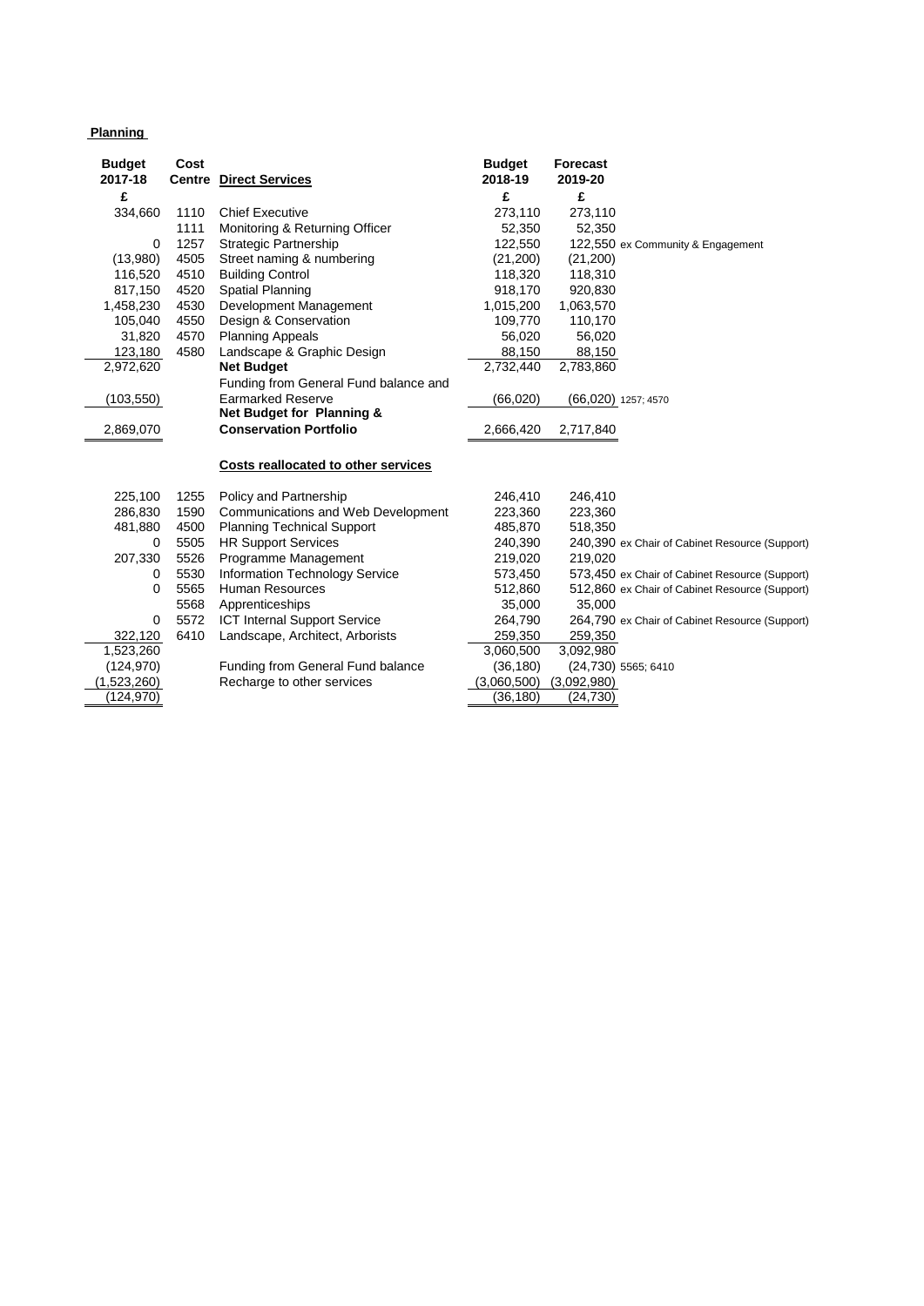#### **Planning**

| <b>Budget</b> | Cost |                                          | <b>Budget</b> | <b>Forecast</b> |                                                |
|---------------|------|------------------------------------------|---------------|-----------------|------------------------------------------------|
| 2017-18       |      | <b>Centre Direct Services</b>            | 2018-19       | 2019-20         |                                                |
| £             |      |                                          | £             | £               |                                                |
| 334,660       | 1110 | <b>Chief Executive</b>                   | 273,110       | 273,110         |                                                |
|               | 1111 | Monitoring & Returning Officer           | 52,350        | 52,350          |                                                |
| 0             | 1257 | <b>Strategic Partnership</b>             | 122,550       |                 | 122,550 ex Community & Engagement              |
| (13,980)      | 4505 | Street naming & numbering                | (21, 200)     | (21,200)        |                                                |
| 116,520       | 4510 | <b>Building Control</b>                  | 118,320       | 118,310         |                                                |
| 817,150       | 4520 | <b>Spatial Planning</b>                  | 918,170       | 920,830         |                                                |
| 1,458,230     | 4530 | Development Management                   | 1,015,200     | 1,063,570       |                                                |
| 105,040       | 4550 | Design & Conservation                    | 109,770       | 110,170         |                                                |
| 31,820        | 4570 | <b>Planning Appeals</b>                  | 56,020        | 56,020          |                                                |
| 123,180       | 4580 | Landscape & Graphic Design               | 88,150        | 88,150          |                                                |
| 2,972,620     |      | <b>Net Budget</b>                        | 2,732,440     | 2,783,860       |                                                |
|               |      | Funding from General Fund balance and    |               |                 |                                                |
| (103, 550)    |      | <b>Earmarked Reserve</b>                 | (66,020)      |                 | (66,020) 1257; 4570                            |
|               |      | Net Budget for Planning &                |               |                 |                                                |
| 2,869,070     |      | <b>Conservation Portfolio</b>            | 2,666,420     | 2,717,840       |                                                |
|               |      |                                          |               |                 |                                                |
|               |      | Costs reallocated to other services      |               |                 |                                                |
|               |      |                                          |               |                 |                                                |
| 225,100       | 1255 | Policy and Partnership                   | 246,410       | 246,410         |                                                |
| 286,830       | 1590 | Communications and Web Development       | 223,360       | 223,360         |                                                |
| 481,880       | 4500 | <b>Planning Technical Support</b>        | 485,870       | 518,350         |                                                |
| 0             | 5505 | <b>HR Support Services</b>               | 240,390       |                 | 240,390 ex Chair of Cabinet Resource (Support) |
| 207,330       | 5526 | Programme Management                     | 219,020       | 219,020         |                                                |
| 0             | 5530 | Information Technology Service           | 573,450       |                 | 573,450 ex Chair of Cabinet Resource (Support) |
| $\Omega$      | 5565 | <b>Human Resources</b>                   | 512,860       |                 | 512,860 ex Chair of Cabinet Resource (Support) |
|               | 5568 | Apprenticeships                          | 35,000        | 35,000          |                                                |
| 0             | 5572 | ICT Internal Support Service             | 264,790       |                 | 264,790 ex Chair of Cabinet Resource (Support) |
| 322,120       | 6410 | Landscape, Architect, Arborists          | 259,350       | 259,350         |                                                |
| 1,523,260     |      |                                          | 3,060,500     | 3,092,980       |                                                |
| (124, 970)    |      | <b>Funding from General Fund balance</b> | (36, 180)     |                 | (24,730) 5565; 6410                            |
| (1,523,260)   |      | Recharge to other services               | (3,060,500)   | (3,092,980)     |                                                |
| (124,970)     |      |                                          | (36, 180)     | (24, 730)       |                                                |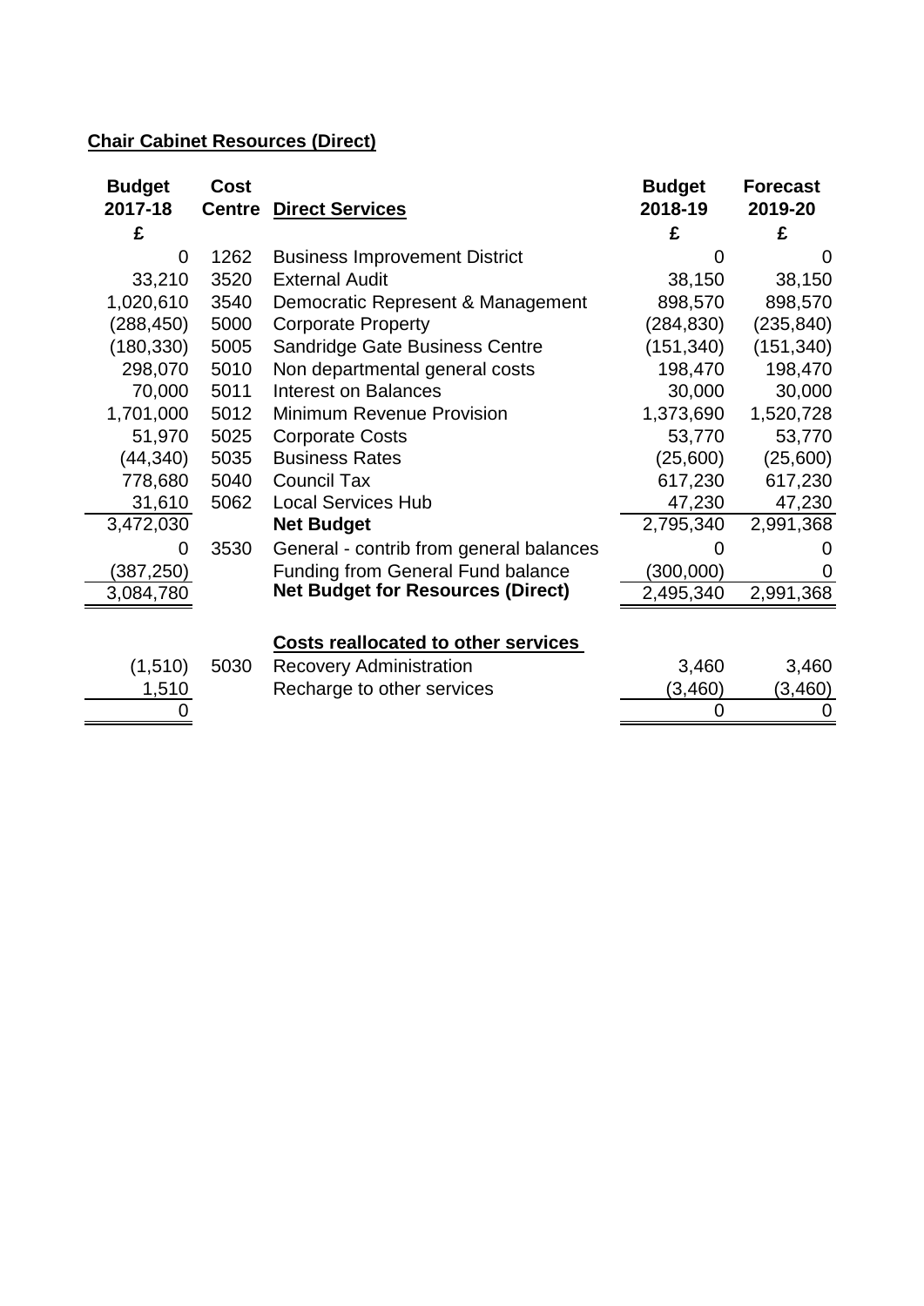# **Chair Cabinet Resources (Direct)**

| <b>Budget</b> | Cost          |                                            | <b>Budget</b> | <b>Forecast</b> |
|---------------|---------------|--------------------------------------------|---------------|-----------------|
| 2017-18       | <b>Centre</b> | <b>Direct Services</b>                     | 2018-19       | 2019-20         |
| £             |               |                                            | £             | £               |
| 0             | 1262          | <b>Business Improvement District</b>       |               |                 |
| 33,210        | 3520          | <b>External Audit</b>                      | 38,150        | 38,150          |
| 1,020,610     | 3540          | Democratic Represent & Management          | 898,570       | 898,570         |
| (288, 450)    | 5000          | <b>Corporate Property</b>                  | (284, 830)    | (235, 840)      |
| (180, 330)    | 5005          | Sandridge Gate Business Centre             | (151, 340)    | (151, 340)      |
| 298,070       | 5010          | Non departmental general costs             | 198,470       | 198,470         |
| 70,000        | 5011          | <b>Interest on Balances</b>                | 30,000        | 30,000          |
| 1,701,000     | 5012          | Minimum Revenue Provision                  | 1,373,690     | 1,520,728       |
| 51,970        | 5025          | <b>Corporate Costs</b>                     | 53,770        | 53,770          |
| (44, 340)     | 5035          | <b>Business Rates</b>                      | (25,600)      | (25,600)        |
| 778,680       | 5040          | <b>Council Tax</b>                         | 617,230       | 617,230         |
| 31,610        | 5062          | <b>Local Services Hub</b>                  | 47,230        | 47,230          |
| 3,472,030     |               | <b>Net Budget</b>                          | 2,795,340     | 2,991,368       |
| 0             | 3530          | General - contrib from general balances    |               |                 |
| (387, 250)    |               | <b>Funding from General Fund balance</b>   | (300,000)     |                 |
| 3,084,780     |               | <b>Net Budget for Resources (Direct)</b>   | 2,495,340     | 2,991,368       |
|               |               |                                            |               |                 |
|               |               | <b>Costs reallocated to other services</b> |               |                 |
| (1, 510)      | 5030          | <b>Recovery Administration</b>             | 3,460         | 3,460           |
| 1,510         |               | Recharge to other services                 | (3,460)       | (3,460)         |
|               |               |                                            | 0             | 0               |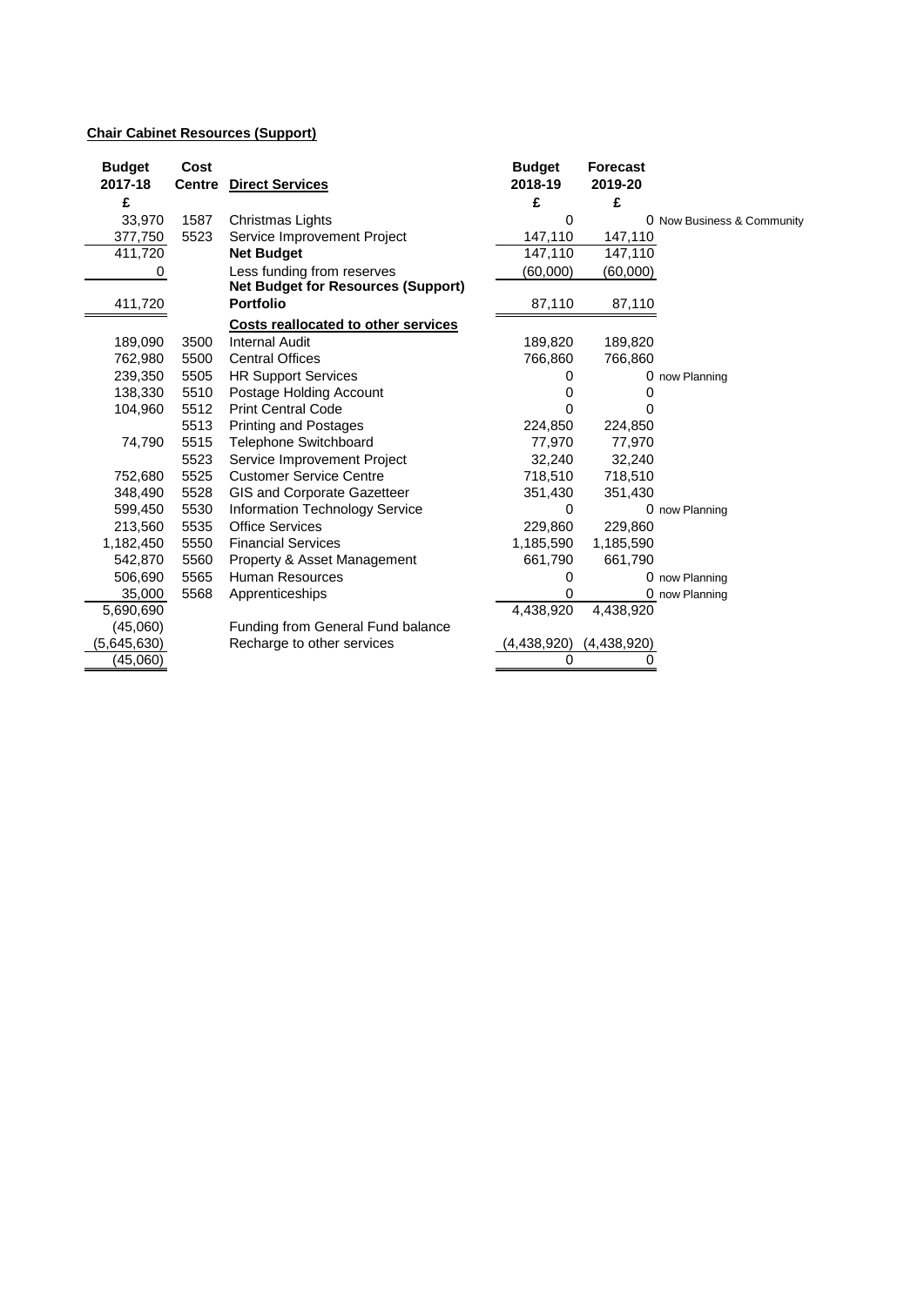#### **Chair Cabinet Resources (Support)**

| 2017-18<br>2018-19<br>2019-20<br><b>Centre</b> Direct Services<br>£<br>£<br>£<br>1587<br>33,970<br>Christmas Lights<br>0<br>0 Now Business & Community<br>5523<br>147,110<br>377,750<br>Service Improvement Project<br>147,110<br>411,720<br>147,110<br>147,110<br><b>Net Budget</b><br>Less funding from reserves<br>(60,000)<br>(60,000)<br>0<br><b>Net Budget for Resources (Support)</b><br><b>Portfolio</b><br>411,720<br>87,110<br>87,110<br><b>Costs reallocated to other services</b><br>189,090<br>3500<br><b>Internal Audit</b><br>189,820<br>189,820<br>762,980<br>5500<br><b>Central Offices</b><br>766,860<br>766,860<br>239,350<br>5505<br><b>HR Support Services</b><br>0 now Planning<br>O<br>5510<br>138,330<br>Postage Holding Account<br>0<br>O<br>5512<br><b>Print Central Code</b><br>104,960<br>0<br>O<br>5513<br><b>Printing and Postages</b><br>224,850<br>224,850<br>5515<br>77,970<br>74,790<br><b>Telephone Switchboard</b><br>77,970<br>5523<br>Service Improvement Project<br>32,240<br>32,240<br>5525<br><b>Customer Service Centre</b><br>752,680<br>718,510<br>718,510<br>5528<br>GIS and Corporate Gazetteer<br>348,490<br>351,430<br>351,430<br>5530<br>599,450<br><b>Information Technology Service</b><br>0<br>0 now Planning<br><b>Office Services</b><br>213,560<br>5535<br>229,860<br>229,860<br>5550<br>1,182,450<br><b>Financial Services</b><br>1,185,590<br>1,185,590<br>5560<br>542,870<br>Property & Asset Management<br>661,790<br>661,790<br>5565<br><b>Human Resources</b><br>506,690<br>0<br>0 now Planning<br>5568<br>35,000<br>Apprenticeships<br>0<br>0 now Planning<br>4,438,920<br>4,438,920<br>5,690,690<br>Funding from General Fund balance<br>(45,060)<br>(5,645,630)<br>(4,438,920)<br>Recharge to other services<br>(4,438,920)<br>(45,060)<br>$\Omega$<br>0 | <b>Budget</b> | Cost | <b>Budget</b> | <b>Forecast</b> |  |
|--------------------------------------------------------------------------------------------------------------------------------------------------------------------------------------------------------------------------------------------------------------------------------------------------------------------------------------------------------------------------------------------------------------------------------------------------------------------------------------------------------------------------------------------------------------------------------------------------------------------------------------------------------------------------------------------------------------------------------------------------------------------------------------------------------------------------------------------------------------------------------------------------------------------------------------------------------------------------------------------------------------------------------------------------------------------------------------------------------------------------------------------------------------------------------------------------------------------------------------------------------------------------------------------------------------------------------------------------------------------------------------------------------------------------------------------------------------------------------------------------------------------------------------------------------------------------------------------------------------------------------------------------------------------------------------------------------------------------------------------------------------------------------------------------------------------------|---------------|------|---------------|-----------------|--|
|                                                                                                                                                                                                                                                                                                                                                                                                                                                                                                                                                                                                                                                                                                                                                                                                                                                                                                                                                                                                                                                                                                                                                                                                                                                                                                                                                                                                                                                                                                                                                                                                                                                                                                                                                                                                                          |               |      |               |                 |  |
|                                                                                                                                                                                                                                                                                                                                                                                                                                                                                                                                                                                                                                                                                                                                                                                                                                                                                                                                                                                                                                                                                                                                                                                                                                                                                                                                                                                                                                                                                                                                                                                                                                                                                                                                                                                                                          |               |      |               |                 |  |
|                                                                                                                                                                                                                                                                                                                                                                                                                                                                                                                                                                                                                                                                                                                                                                                                                                                                                                                                                                                                                                                                                                                                                                                                                                                                                                                                                                                                                                                                                                                                                                                                                                                                                                                                                                                                                          |               |      |               |                 |  |
|                                                                                                                                                                                                                                                                                                                                                                                                                                                                                                                                                                                                                                                                                                                                                                                                                                                                                                                                                                                                                                                                                                                                                                                                                                                                                                                                                                                                                                                                                                                                                                                                                                                                                                                                                                                                                          |               |      |               |                 |  |
|                                                                                                                                                                                                                                                                                                                                                                                                                                                                                                                                                                                                                                                                                                                                                                                                                                                                                                                                                                                                                                                                                                                                                                                                                                                                                                                                                                                                                                                                                                                                                                                                                                                                                                                                                                                                                          |               |      |               |                 |  |
|                                                                                                                                                                                                                                                                                                                                                                                                                                                                                                                                                                                                                                                                                                                                                                                                                                                                                                                                                                                                                                                                                                                                                                                                                                                                                                                                                                                                                                                                                                                                                                                                                                                                                                                                                                                                                          |               |      |               |                 |  |
|                                                                                                                                                                                                                                                                                                                                                                                                                                                                                                                                                                                                                                                                                                                                                                                                                                                                                                                                                                                                                                                                                                                                                                                                                                                                                                                                                                                                                                                                                                                                                                                                                                                                                                                                                                                                                          |               |      |               |                 |  |
|                                                                                                                                                                                                                                                                                                                                                                                                                                                                                                                                                                                                                                                                                                                                                                                                                                                                                                                                                                                                                                                                                                                                                                                                                                                                                                                                                                                                                                                                                                                                                                                                                                                                                                                                                                                                                          |               |      |               |                 |  |
|                                                                                                                                                                                                                                                                                                                                                                                                                                                                                                                                                                                                                                                                                                                                                                                                                                                                                                                                                                                                                                                                                                                                                                                                                                                                                                                                                                                                                                                                                                                                                                                                                                                                                                                                                                                                                          |               |      |               |                 |  |
|                                                                                                                                                                                                                                                                                                                                                                                                                                                                                                                                                                                                                                                                                                                                                                                                                                                                                                                                                                                                                                                                                                                                                                                                                                                                                                                                                                                                                                                                                                                                                                                                                                                                                                                                                                                                                          |               |      |               |                 |  |
|                                                                                                                                                                                                                                                                                                                                                                                                                                                                                                                                                                                                                                                                                                                                                                                                                                                                                                                                                                                                                                                                                                                                                                                                                                                                                                                                                                                                                                                                                                                                                                                                                                                                                                                                                                                                                          |               |      |               |                 |  |
|                                                                                                                                                                                                                                                                                                                                                                                                                                                                                                                                                                                                                                                                                                                                                                                                                                                                                                                                                                                                                                                                                                                                                                                                                                                                                                                                                                                                                                                                                                                                                                                                                                                                                                                                                                                                                          |               |      |               |                 |  |
|                                                                                                                                                                                                                                                                                                                                                                                                                                                                                                                                                                                                                                                                                                                                                                                                                                                                                                                                                                                                                                                                                                                                                                                                                                                                                                                                                                                                                                                                                                                                                                                                                                                                                                                                                                                                                          |               |      |               |                 |  |
|                                                                                                                                                                                                                                                                                                                                                                                                                                                                                                                                                                                                                                                                                                                                                                                                                                                                                                                                                                                                                                                                                                                                                                                                                                                                                                                                                                                                                                                                                                                                                                                                                                                                                                                                                                                                                          |               |      |               |                 |  |
|                                                                                                                                                                                                                                                                                                                                                                                                                                                                                                                                                                                                                                                                                                                                                                                                                                                                                                                                                                                                                                                                                                                                                                                                                                                                                                                                                                                                                                                                                                                                                                                                                                                                                                                                                                                                                          |               |      |               |                 |  |
|                                                                                                                                                                                                                                                                                                                                                                                                                                                                                                                                                                                                                                                                                                                                                                                                                                                                                                                                                                                                                                                                                                                                                                                                                                                                                                                                                                                                                                                                                                                                                                                                                                                                                                                                                                                                                          |               |      |               |                 |  |
|                                                                                                                                                                                                                                                                                                                                                                                                                                                                                                                                                                                                                                                                                                                                                                                                                                                                                                                                                                                                                                                                                                                                                                                                                                                                                                                                                                                                                                                                                                                                                                                                                                                                                                                                                                                                                          |               |      |               |                 |  |
|                                                                                                                                                                                                                                                                                                                                                                                                                                                                                                                                                                                                                                                                                                                                                                                                                                                                                                                                                                                                                                                                                                                                                                                                                                                                                                                                                                                                                                                                                                                                                                                                                                                                                                                                                                                                                          |               |      |               |                 |  |
|                                                                                                                                                                                                                                                                                                                                                                                                                                                                                                                                                                                                                                                                                                                                                                                                                                                                                                                                                                                                                                                                                                                                                                                                                                                                                                                                                                                                                                                                                                                                                                                                                                                                                                                                                                                                                          |               |      |               |                 |  |
|                                                                                                                                                                                                                                                                                                                                                                                                                                                                                                                                                                                                                                                                                                                                                                                                                                                                                                                                                                                                                                                                                                                                                                                                                                                                                                                                                                                                                                                                                                                                                                                                                                                                                                                                                                                                                          |               |      |               |                 |  |
|                                                                                                                                                                                                                                                                                                                                                                                                                                                                                                                                                                                                                                                                                                                                                                                                                                                                                                                                                                                                                                                                                                                                                                                                                                                                                                                                                                                                                                                                                                                                                                                                                                                                                                                                                                                                                          |               |      |               |                 |  |
|                                                                                                                                                                                                                                                                                                                                                                                                                                                                                                                                                                                                                                                                                                                                                                                                                                                                                                                                                                                                                                                                                                                                                                                                                                                                                                                                                                                                                                                                                                                                                                                                                                                                                                                                                                                                                          |               |      |               |                 |  |
|                                                                                                                                                                                                                                                                                                                                                                                                                                                                                                                                                                                                                                                                                                                                                                                                                                                                                                                                                                                                                                                                                                                                                                                                                                                                                                                                                                                                                                                                                                                                                                                                                                                                                                                                                                                                                          |               |      |               |                 |  |
|                                                                                                                                                                                                                                                                                                                                                                                                                                                                                                                                                                                                                                                                                                                                                                                                                                                                                                                                                                                                                                                                                                                                                                                                                                                                                                                                                                                                                                                                                                                                                                                                                                                                                                                                                                                                                          |               |      |               |                 |  |
|                                                                                                                                                                                                                                                                                                                                                                                                                                                                                                                                                                                                                                                                                                                                                                                                                                                                                                                                                                                                                                                                                                                                                                                                                                                                                                                                                                                                                                                                                                                                                                                                                                                                                                                                                                                                                          |               |      |               |                 |  |
|                                                                                                                                                                                                                                                                                                                                                                                                                                                                                                                                                                                                                                                                                                                                                                                                                                                                                                                                                                                                                                                                                                                                                                                                                                                                                                                                                                                                                                                                                                                                                                                                                                                                                                                                                                                                                          |               |      |               |                 |  |
|                                                                                                                                                                                                                                                                                                                                                                                                                                                                                                                                                                                                                                                                                                                                                                                                                                                                                                                                                                                                                                                                                                                                                                                                                                                                                                                                                                                                                                                                                                                                                                                                                                                                                                                                                                                                                          |               |      |               |                 |  |
|                                                                                                                                                                                                                                                                                                                                                                                                                                                                                                                                                                                                                                                                                                                                                                                                                                                                                                                                                                                                                                                                                                                                                                                                                                                                                                                                                                                                                                                                                                                                                                                                                                                                                                                                                                                                                          |               |      |               |                 |  |
|                                                                                                                                                                                                                                                                                                                                                                                                                                                                                                                                                                                                                                                                                                                                                                                                                                                                                                                                                                                                                                                                                                                                                                                                                                                                                                                                                                                                                                                                                                                                                                                                                                                                                                                                                                                                                          |               |      |               |                 |  |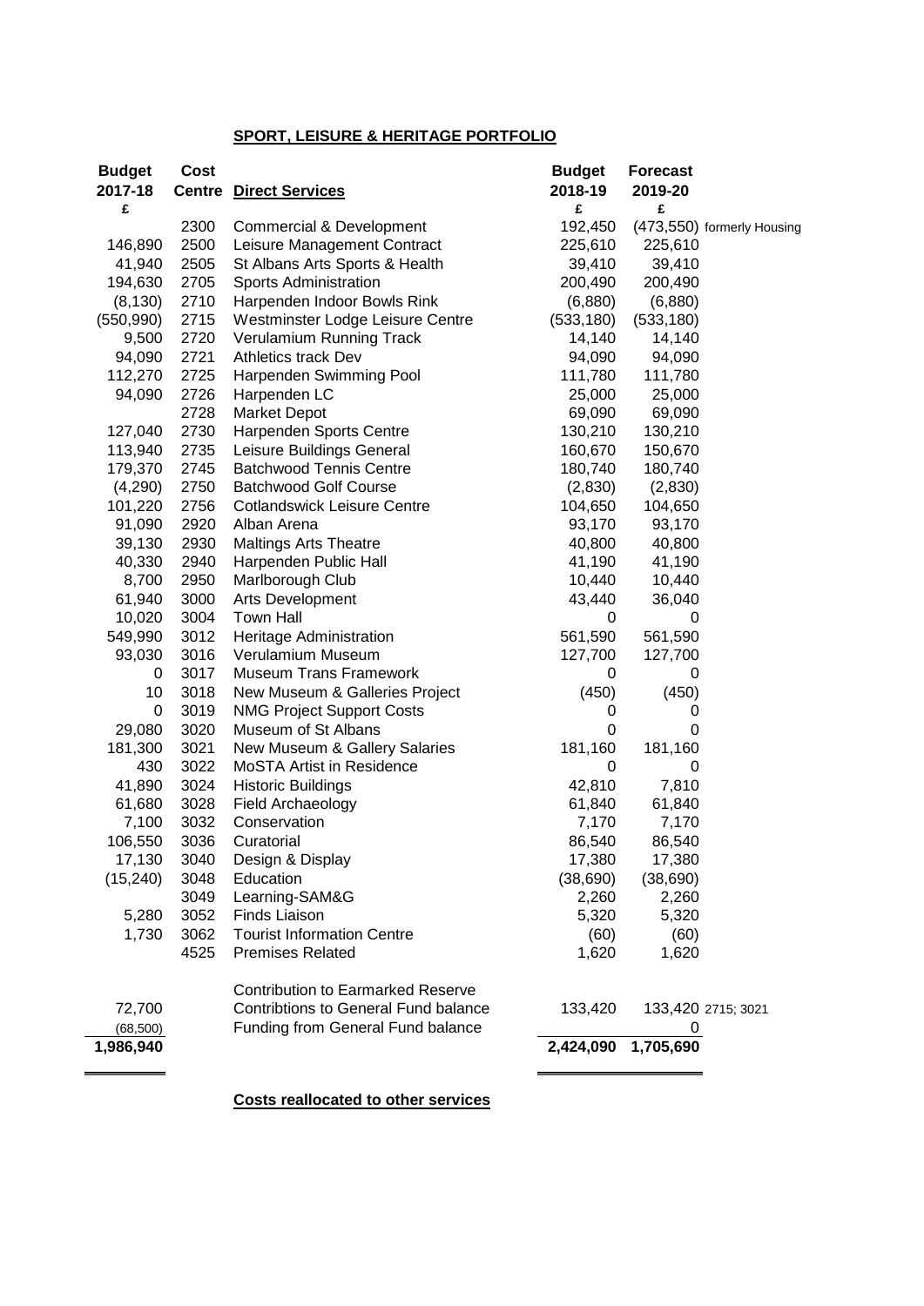#### **SPORT, LEISURE & HERITAGE PORTFOLIO**

| <b>Budget</b> | Cost |                                             | <b>Budget</b> | <b>Forecast</b> |                            |
|---------------|------|---------------------------------------------|---------------|-----------------|----------------------------|
| 2017-18       |      | <b>Centre Direct Services</b>               | 2018-19       | 2019-20         |                            |
| £             |      |                                             | £             | £               |                            |
|               | 2300 | <b>Commercial &amp; Development</b>         | 192,450       |                 | (473,550) formerly Housing |
| 146,890       | 2500 | Leisure Management Contract                 | 225,610       | 225,610         |                            |
| 41,940        | 2505 | St Albans Arts Sports & Health              | 39,410        | 39,410          |                            |
| 194,630       | 2705 | Sports Administration                       | 200,490       | 200,490         |                            |
| (8, 130)      | 2710 | Harpenden Indoor Bowls Rink                 | (6,880)       | (6,880)         |                            |
| (550, 990)    | 2715 | Westminster Lodge Leisure Centre            | (533, 180)    | (533, 180)      |                            |
| 9,500         | 2720 | Verulamium Running Track                    | 14,140        | 14,140          |                            |
| 94,090        | 2721 | <b>Athletics track Dev</b>                  | 94,090        | 94,090          |                            |
| 112,270       | 2725 | Harpenden Swimming Pool                     | 111,780       | 111,780         |                            |
| 94,090        | 2726 | Harpenden LC                                | 25,000        | 25,000          |                            |
|               | 2728 | <b>Market Depot</b>                         | 69,090        | 69,090          |                            |
| 127,040       | 2730 | Harpenden Sports Centre                     | 130,210       | 130,210         |                            |
| 113,940       | 2735 | Leisure Buildings General                   | 160,670       | 150,670         |                            |
| 179,370       | 2745 | <b>Batchwood Tennis Centre</b>              | 180,740       | 180,740         |                            |
| (4,290)       | 2750 | <b>Batchwood Golf Course</b>                | (2,830)       | (2,830)         |                            |
| 101,220       | 2756 | <b>Cotlandswick Leisure Centre</b>          | 104,650       | 104,650         |                            |
| 91,090        | 2920 | Alban Arena                                 | 93,170        | 93,170          |                            |
| 39,130        | 2930 | <b>Maltings Arts Theatre</b>                | 40,800        | 40,800          |                            |
| 40,330        | 2940 | Harpenden Public Hall                       | 41,190        | 41,190          |                            |
| 8,700         | 2950 | Marlborough Club                            | 10,440        | 10,440          |                            |
| 61,940        | 3000 | Arts Development                            | 43,440        | 36,040          |                            |
| 10,020        | 3004 | <b>Town Hall</b>                            | 0             | 0               |                            |
| 549,990       | 3012 | Heritage Administration                     | 561,590       | 561,590         |                            |
| 93,030        | 3016 | Verulamium Museum                           | 127,700       | 127,700         |                            |
| 0             | 3017 | <b>Museum Trans Framework</b>               | 0             | 0               |                            |
| 10            | 3018 | New Museum & Galleries Project              | (450)         | (450)           |                            |
| $\pmb{0}$     | 3019 | <b>NMG Project Support Costs</b>            | 0             | 0               |                            |
| 29,080        | 3020 | Museum of St Albans                         | 0             | 0               |                            |
| 181,300       | 3021 | New Museum & Gallery Salaries               | 181,160       | 181,160         |                            |
| 430           | 3022 | MoSTA Artist in Residence                   | 0             | 0               |                            |
| 41,890        | 3024 | <b>Historic Buildings</b>                   | 42,810        | 7,810           |                            |
| 61,680        | 3028 | Field Archaeology                           | 61,840        | 61,840          |                            |
| 7,100         | 3032 | Conservation                                | 7,170         | 7,170           |                            |
| 106,550       | 3036 | Curatorial                                  | 86,540        | 86,540          |                            |
| 17,130        | 3040 | Design & Display                            | 17,380        | 17,380          |                            |
| (15, 240)     | 3048 | Education                                   | (38, 690)     | (38, 690)       |                            |
|               | 3049 | Learning-SAM&G                              | 2,260         | 2,260           |                            |
|               | 3052 | <b>Finds Liaison</b>                        |               | 5,320           |                            |
| 5,280         | 3062 | <b>Tourist Information Centre</b>           | 5,320         |                 |                            |
| 1,730         |      |                                             | (60)          | (60)            |                            |
|               | 4525 | <b>Premises Related</b>                     | 1,620         | 1,620           |                            |
|               |      | <b>Contribution to Earmarked Reserve</b>    |               |                 |                            |
| 72,700        |      | <b>Contribtions to General Fund balance</b> | 133,420       |                 | 133,420 2715; 3021         |
| (68, 500)     |      | Funding from General Fund balance           |               | 0               |                            |
| 1,986,940     |      |                                             | 2,424,090     | 1,705,690       |                            |
|               |      |                                             |               |                 |                            |
|               |      |                                             |               |                 |                            |

**Costs reallocated to other services**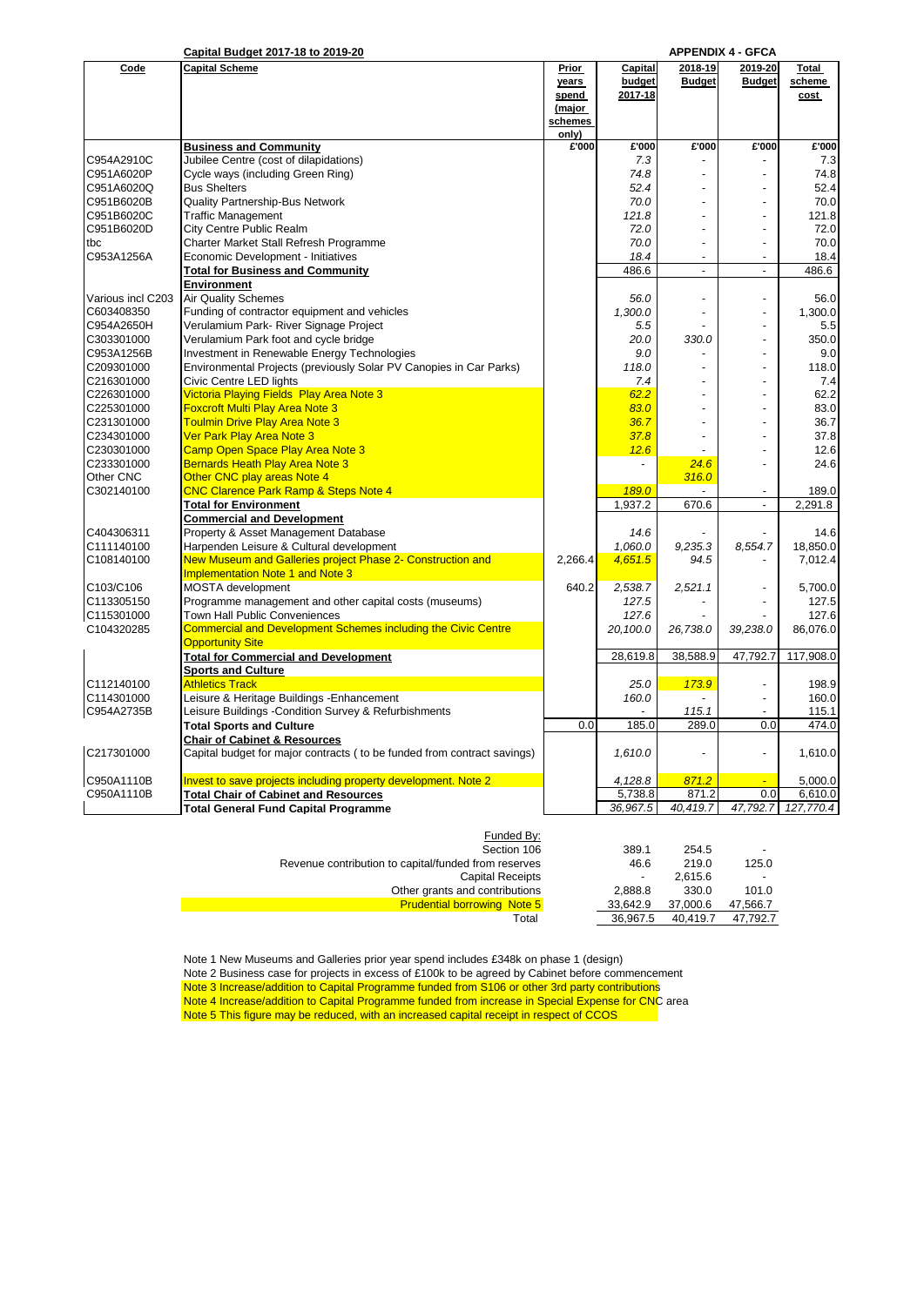|  |  | Capital Budget 2017-18 to 2019-20 |  |
|--|--|-----------------------------------|--|
|  |  |                                   |  |

|                   | <u>Capital Budget 2017-18 to 2019-20</u>                                |         |                |                | <b>APPENDIX 4 - GFCA</b> |           |
|-------------------|-------------------------------------------------------------------------|---------|----------------|----------------|--------------------------|-----------|
| Code              | <b>Capital Scheme</b>                                                   | Prior   | Capital        | 2018-19        | 2019-20                  | Total     |
|                   |                                                                         | years   | budget         | <b>Budget</b>  | <b>Budget</b>            | scheme    |
|                   |                                                                         | spend   | 2017-18        |                |                          | cost      |
|                   |                                                                         | (major  |                |                |                          |           |
|                   |                                                                         | schemes |                |                |                          |           |
|                   |                                                                         | only)   |                |                |                          |           |
|                   |                                                                         | £'000   | £'000          | £'000          | £'000                    | £'000     |
|                   | <b>Business and Community</b>                                           |         |                |                |                          |           |
| C954A2910C        | Jubilee Centre (cost of dilapidations)                                  |         | 7.3            |                |                          | 7.3       |
| C951A6020P        | Cycle ways (including Green Ring)                                       |         | 74.8           |                |                          | 74.8      |
| C951A6020Q        | <b>Bus Shelters</b>                                                     |         | 52.4           |                |                          | 52.4      |
| C951B6020B        | Quality Partnership-Bus Network                                         |         | 70.0           | $\overline{a}$ | $\overline{\phantom{a}}$ | 70.0      |
| C951B6020C        | <b>Traffic Management</b>                                               |         | 121.8          | $\overline{a}$ |                          | 121.8     |
| C951B6020D        | City Centre Public Realm                                                |         | 72.0           | $\overline{a}$ | ÷,                       | 72.0      |
| tbc               | Charter Market Stall Refresh Programme                                  |         | 70.0           |                |                          | 70.0      |
|                   |                                                                         |         |                | $\overline{a}$ |                          |           |
| C953A1256A        | Economic Development - Initiatives                                      |         | 18.4           |                |                          | 18.4      |
|                   | <b>Total for Business and Community</b>                                 |         | 486.6          | ÷.             | $\mathbf{r}$             | 486.6     |
|                   | Environment                                                             |         |                |                |                          |           |
| Various incl C203 | <b>Air Quality Schemes</b>                                              |         | 56.0           | $\overline{a}$ | $\overline{a}$           | 56.0      |
| C603408350        | Funding of contractor equipment and vehicles                            |         | 1,300.0        | $\overline{a}$ | $\overline{a}$           | 1,300.0   |
| C954A2650H        | Verulamium Park- River Signage Project                                  |         | 5.5            |                | Ĭ.                       | 5.5       |
| C303301000        | Verulamium Park foot and cycle bridge                                   |         | 20.0           | 330.0          |                          | 350.0     |
| C953A1256B        | Investment in Renewable Energy Technologies                             |         | 9.0            |                |                          | 9.0       |
|                   |                                                                         |         |                |                |                          |           |
| C209301000        | Environmental Projects (previously Solar PV Canopies in Car Parks)      |         | 118.0          |                |                          | 118.0     |
| C216301000        | Civic Centre LED lights                                                 |         | 7.4            |                |                          | 7.4       |
| C226301000        | Victoria Playing Fields Play Area Note 3                                |         | 62.2           |                |                          | 62.2      |
| C225301000        | <b>Foxcroft Multi Play Area Note 3</b>                                  |         | 83.0           | $\overline{a}$ |                          | 83.0      |
| C231301000        | <b>Toulmin Drive Play Area Note 3</b>                                   |         | 36.7           |                |                          | 36.7      |
| C234301000        | Ver Park Play Area Note 3                                               |         | 37.8           |                |                          | 37.8      |
| C230301000        | Camp Open Space Play Area Note 3                                        |         | 12.6           |                |                          | 12.6      |
| C233301000        | Bernards Heath Play Area Note 3                                         |         | $\overline{a}$ | 24.6           |                          | 24.6      |
|                   |                                                                         |         |                |                |                          |           |
| Other CNC         | Other CNC play areas Note 4                                             |         |                | 316.0          |                          |           |
| C302140100        | <b>CNC Clarence Park Ramp &amp; Steps Note 4</b>                        |         | 189.0          |                |                          | 189.0     |
|                   | <b>Total for Environment</b>                                            |         | 1.937.2        | 670.6          | $\overline{a}$           | 2.291.8   |
|                   | <b>Commercial and Development</b>                                       |         |                |                |                          |           |
| C404306311        | Property & Asset Management Database                                    |         | 14.6           |                |                          | 14.6      |
| C111140100        | Harpenden Leisure & Cultural development                                |         | 1,060.0        | 9,235.3        | 8,554.7                  | 18.850.0  |
| C108140100        | New Museum and Galleries project Phase 2- Construction and              | 2,266.4 | 4,651.5        | 94.5           |                          | 7,012.4   |
|                   | <b>Implementation Note 1 and Note 3</b>                                 |         |                |                |                          |           |
|                   |                                                                         |         |                |                |                          |           |
| C103/C106         | MOSTA development                                                       | 640.2   | 2,538.7        | 2,521.1        |                          | 5,700.0   |
| C113305150        | Programme management and other capital costs (museums)                  |         | 127.5          |                |                          | 127.5     |
| C115301000        | Town Hall Public Conveniences                                           |         | 127.6          |                |                          | 127.6     |
| C104320285        | <b>Commercial and Development Schemes including the Civic Centre</b>    |         | 20,100.0       | 26,738.0       | 39,238.0                 | 86,076.0  |
|                   | <b>Opportunity Site</b>                                                 |         |                |                |                          |           |
|                   | <b>Total for Commercial and Development</b>                             |         | 28,619.8       | 38,588.9       | 47,792.7                 | 117,908.0 |
|                   | <b>Sports and Culture</b>                                               |         |                |                |                          |           |
| C112140100        | <b>Athletics Track</b>                                                  |         | 25.0           | 173.9          | $\overline{a}$           | 198.9     |
|                   |                                                                         |         |                |                |                          |           |
| C114301000        | Leisure & Heritage Buildings - Enhancement                              |         | 160.0          |                |                          | 160.0     |
| C954A2735B        | Leisure Buildings - Condition Survey & Refurbishments                   |         |                | 115.1          | $\overline{a}$           | 115.1     |
|                   | <b>Total Sports and Culture</b>                                         | 0.0     | 185.0          | 289.0          | 0.0                      | 474.0     |
|                   | <b>Chair of Cabinet &amp; Resources</b>                                 |         |                |                |                          |           |
| C217301000        | Capital budget for major contracts (to be funded from contract savings) |         | 1,610.0        |                |                          | 1,610.0   |
|                   |                                                                         |         |                |                |                          |           |
| C950A1110B        | Invest to save projects including property development. Note 2          |         | 4,128.8        | 871.2          |                          | 5,000.0   |
| C950A1110B        | <b>Total Chair of Cabinet and Resources</b>                             |         | 5,738.8        | 871.2          | 0.0                      | 6,610.0   |
|                   |                                                                         |         |                |                |                          |           |
|                   | <b>Total General Fund Capital Programme</b>                             |         | 36,967.5       | 40,419.7       | 47,792.7                 | 127,770.4 |
|                   |                                                                         |         |                |                |                          |           |
|                   | Funded By:                                                              |         |                |                |                          |           |
|                   | Section 106                                                             |         | 389.1          | 254.5          |                          |           |

| -                        | 254.5    | 389.1                    | Section 106                                          |
|--------------------------|----------|--------------------------|------------------------------------------------------|
| 125.0                    | 219.0    | 46.6                     | Revenue contribution to capital/funded from reserves |
| $\overline{\phantom{a}}$ | 2.615.6  | $\overline{\phantom{a}}$ | <b>Capital Receipts</b>                              |
| 101.0                    | 330.0    | 2.888.8                  | Other grants and contributions                       |
| 47,566.7                 | 37.000.6 | 33.642.9                 | <b>Prudential borrowing Note 5</b>                   |
| 47.792.7                 | 40.419.7 | 36.967.5                 | Total                                                |
|                          |          |                          |                                                      |

Note 1 New Museums and Galleries prior year spend includes £348k on phase 1 (design) Note 2 Business case for projects in excess of £100k to be agreed by Cabinet before commencement Note 3 Increase/addition to Capital Programme funded from S106 or other 3rd party contributions Note 4 Increase/addition to Capital Programme funded from increase in Special Expense for CNC area Note 5 This figure may be reduced, with an increased capital receipt in respect of CCOS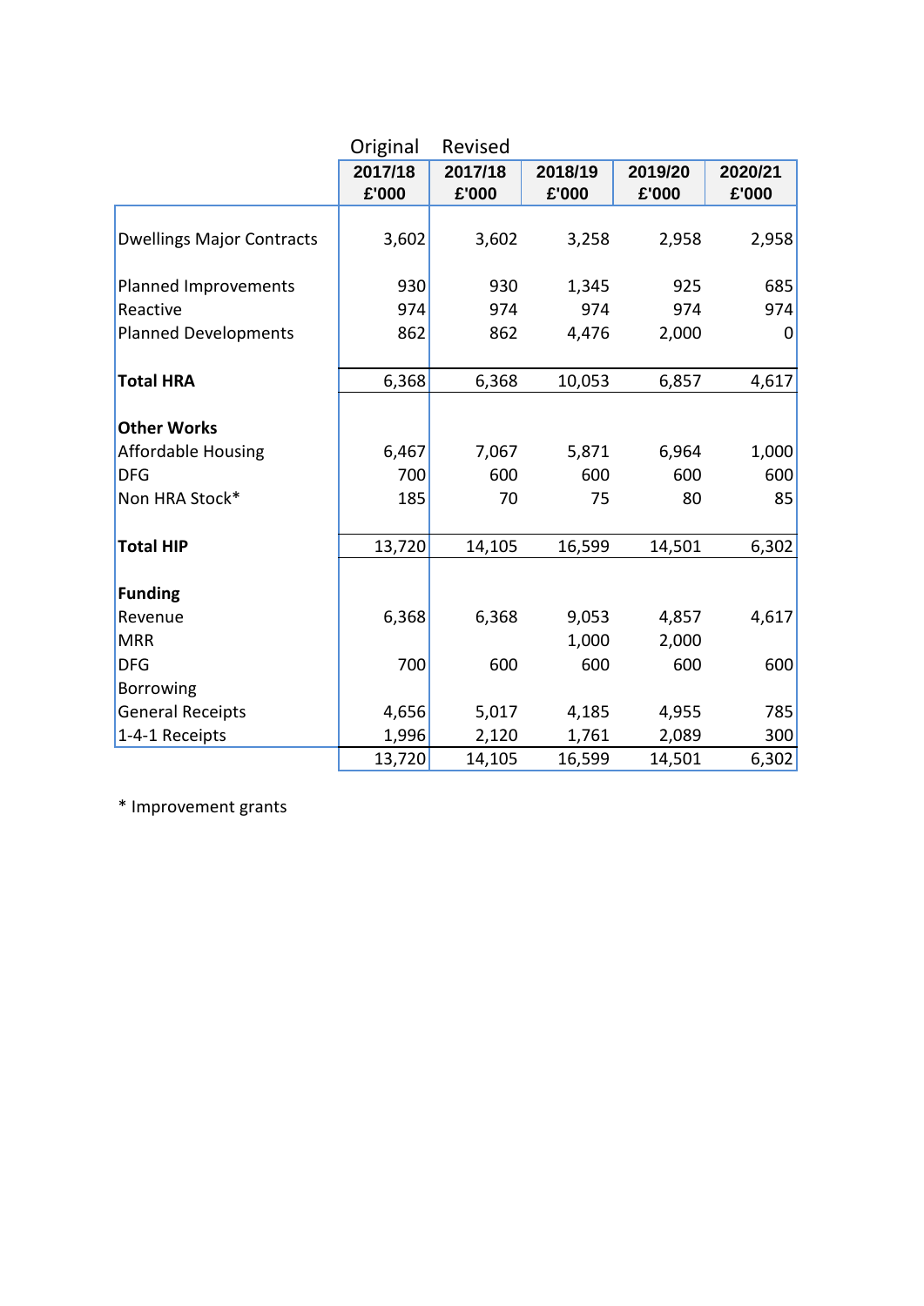|                                  | Original         | Revised          |                  |                  |                  |
|----------------------------------|------------------|------------------|------------------|------------------|------------------|
|                                  | 2017/18<br>£'000 | 2017/18<br>£'000 | 2018/19<br>£'000 | 2019/20<br>£'000 | 2020/21<br>£'000 |
|                                  |                  |                  |                  |                  |                  |
| <b>Dwellings Major Contracts</b> | 3,602            | 3,602            | 3,258            | 2,958            | 2,958            |
| Planned Improvements             | 930              | 930              | 1,345            | 925              | 685              |
| Reactive                         | 974              | 974              | 974              | 974              | 974              |
| <b>Planned Developments</b>      | 862              | 862              | 4,476            | 2,000            | 0                |
| <b>Total HRA</b>                 | 6,368            | 6,368            | 10,053           | 6,857            | 4,617            |
| <b>Other Works</b>               |                  |                  |                  |                  |                  |
| <b>Affordable Housing</b>        | 6,467            | 7,067            | 5,871            | 6,964            | 1,000            |
| <b>DFG</b>                       | 700              | 600              | 600              | 600              | 600              |
| Non HRA Stock*                   | 185              | 70               | 75               | 80               | 85               |
| <b>Total HIP</b>                 | 13,720           | 14,105           | 16,599           | 14,501           | 6,302            |
| <b>Funding</b>                   |                  |                  |                  |                  |                  |
| Revenue                          | 6,368            | 6,368            | 9,053            | 4,857            | 4,617            |
| <b>MRR</b>                       |                  |                  | 1,000            | 2,000            |                  |
| <b>DFG</b>                       | 700              | 600              | 600              | 600              | 600              |
| Borrowing                        |                  |                  |                  |                  |                  |
| <b>General Receipts</b>          | 4,656            | 5,017            | 4,185            | 4,955            | 785              |
| 1-4-1 Receipts                   | 1,996            | 2,120            | 1,761            | 2,089            | 300              |
|                                  | 13,720           | 14,105           | 16,599           | 14,501           | 6,302            |

\* Improvement grants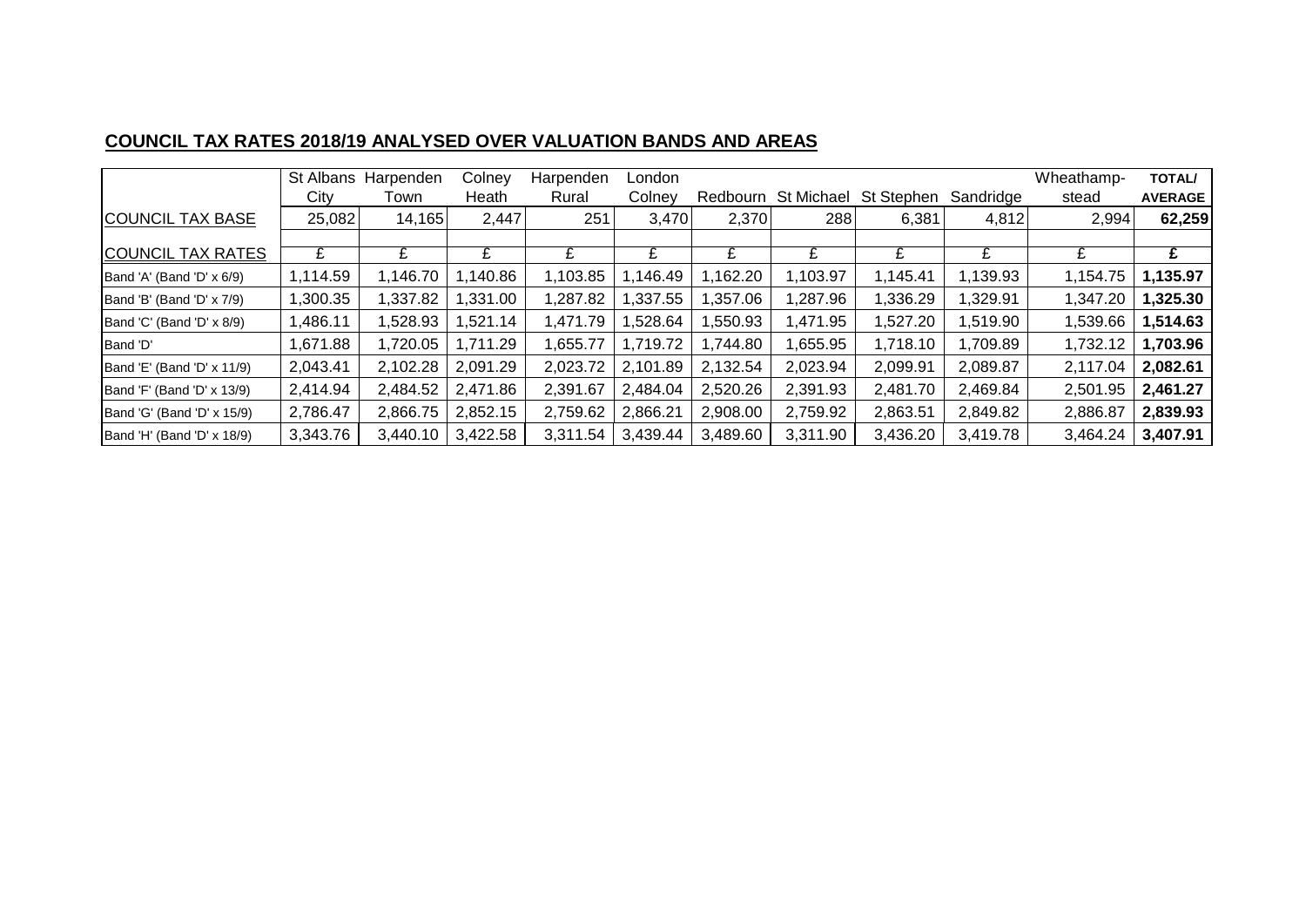# **COUNCIL TAX RATES 2018/19 ANALYSED OVER VALUATION BANDS AND AREAS**

|                            | St Albans<br>City | Harpenden<br>Town | Colney<br>Heath | Harpenden<br>Rural | London<br>Colney | Redbourn | St Michael | St Stephen | Sandridge | Wheathamp-<br>stead | <b>TOTAL/</b><br><b>AVERAGE</b> |
|----------------------------|-------------------|-------------------|-----------------|--------------------|------------------|----------|------------|------------|-----------|---------------------|---------------------------------|
| <b>COUNCIL TAX BASE</b>    | 25,082            | 14,165            | 2,447           | 251                | 3,470            | 2,370    | 288        | 6,381      | 4,812     | 2,994               | 62,259                          |
|                            |                   |                   |                 |                    |                  |          |            |            |           |                     |                                 |
| <b>COUNCIL TAX RATES</b>   | £                 |                   | £               | £                  |                  | £        | £          |            | £         | £                   | £                               |
| Band 'A' (Band 'D' x 6/9)  | 1,114.59          | 1,146.70          | ,140.86         | 1,103.85           | 1,146.49         | 1,162.20 | 1,103.97   | 1,145.41   | 1,139.93  | 1,154.75            | 1,135.97                        |
| Band 'B' (Band 'D' x 7/9)  | 1,300.35          | 1,337.82          | ,331.00         | 1,287.82           | 1,337.55         | 1,357.06 | ,287.96    | 1,336.29   | 1,329.91  | 1,347.20            | 1,325.30                        |
| Band 'C' (Band 'D' x 8/9)  | 1,486.11          | 1,528.93          | ,521.14         | 1,471.79           | ,528.64          | 1,550.93 | 1,471.95   | 1,527.20   | 1,519.90  | 1,539.66            | 1,514.63                        |
| Band 'D'                   | 1,671.88          | 1,720.05          | 1,711.29        | 1,655.77           | 1,719.72         | 1,744.80 | 655.95.    | 1,718.10   | 1,709.89  | 1,732.12            | 1,703.96                        |
| Band 'E' (Band 'D' x 11/9) | 2,043.41          | 2,102.28          | 2,091.29        | 2,023.72           | 2,101.89         | 2,132.54 | 2,023.94   | 2,099.91   | 2,089.87  | 2,117.04            | 2,082.61                        |
| Band 'F' (Band 'D' x 13/9) | 2,414.94          | 2,484.52          | 2,471.86        | 2,391.67           | 2,484.04         | 2,520.26 | 2,391.93   | 2,481.70   | 2,469.84  | 2,501.95            | 2,461.27                        |
| Band 'G' (Band 'D' x 15/9) | 2,786.47          | 2,866.75          | 2,852.15        | 2,759.62           | 2,866.21         | 2,908.00 | 2,759.92   | 2,863.51   | 2,849.82  | 2,886.87            | 2,839.93                        |
| Band 'H' (Band 'D' x 18/9) | 3,343.76          | 3,440.10          | 3,422.58        | 3,311.54           | 3,439.44         | 3,489.60 | 3,311.90   | 3,436.20   | 3,419.78  | 3,464.24            | 3,407.91                        |